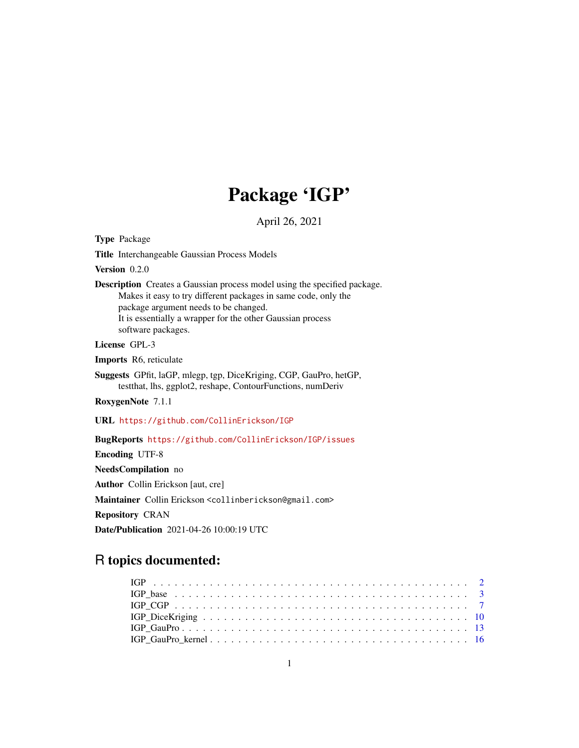# Package 'IGP'

April 26, 2021

<span id="page-0-0"></span>Type Package

Title Interchangeable Gaussian Process Models

Version 0.2.0

Description Creates a Gaussian process model using the specified package. Makes it easy to try different packages in same code, only the package argument needs to be changed. It is essentially a wrapper for the other Gaussian process software packages.

License GPL-3

Imports R6, reticulate

Suggests GPfit, laGP, mlegp, tgp, DiceKriging, CGP, GauPro, hetGP, testthat, lhs, ggplot2, reshape, ContourFunctions, numDeriv

RoxygenNote 7.1.1

URL <https://github.com/CollinErickson/IGP>

BugReports <https://github.com/CollinErickson/IGP/issues>

Encoding UTF-8

NeedsCompilation no

Author Collin Erickson [aut, cre]

Maintainer Collin Erickson <collinberickson@gmail.com>

Repository CRAN

Date/Publication 2021-04-26 10:00:19 UTC

## R topics documented: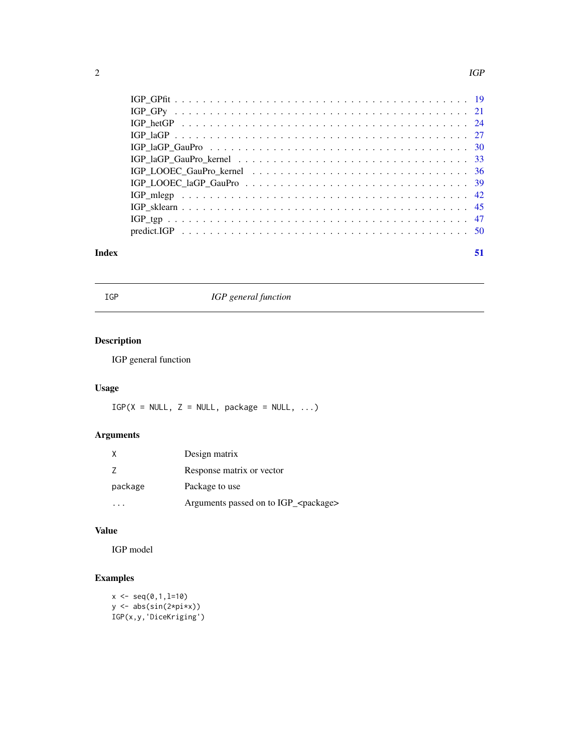#### <span id="page-1-0"></span> $2 \angle$

| Index | 51 |
|-------|----|
|       |    |
|       |    |
|       |    |
|       |    |
|       |    |
|       |    |
|       |    |
|       |    |
|       |    |
|       |    |
|       |    |
|       |    |

IGP *IGP general function*

## Description

IGP general function

## Usage

 $IGP(X = NULL, Z = NULL, package = NULL, ...)$ 

## Arguments

|         | Design matrix                                   |
|---------|-------------------------------------------------|
|         | Response matrix or vector                       |
| package | Package to use                                  |
|         | Arguments passed on to IGP_ <package></package> |

## Value

IGP model

```
x \leq -\text{seq}(0,1,1=10)y <- abs(sin(2*pi*x))
IGP(x,y,'DiceKriging')
```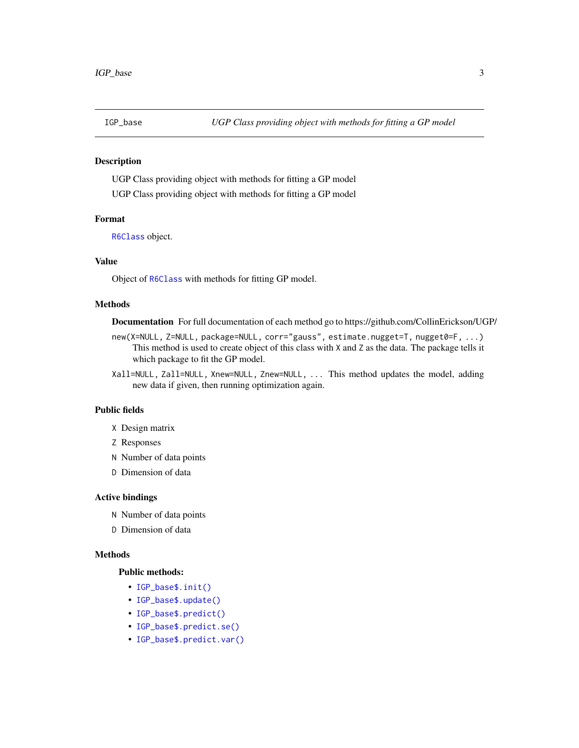<span id="page-2-0"></span>

#### Description

UGP Class providing object with methods for fitting a GP model UGP Class providing object with methods for fitting a GP model

#### Format

[R6Class](#page-0-0) object.

#### Value

Object of [R6Class](#page-0-0) with methods for fitting GP model.

#### Methods

Documentation For full documentation of each method go to https://github.com/CollinErickson/UGP/

- new(X=NULL, Z=NULL, package=NULL, corr="gauss", estimate.nugget=T, nugget0=F, ...) This method is used to create object of this class with X and Z as the data. The package tells it which package to fit the GP model.
- Xall=NULL, Zall=NULL, Xnew=NULL, Znew=NULL, ... This method updates the model, adding new data if given, then running optimization again.

#### Public fields

- X Design matrix
- Z Responses
- N Number of data points
- D Dimension of data

#### Active bindings

- N Number of data points
- D Dimension of data

#### Methods

#### Public methods:

- [IGP\\_base\\$.init\(\)](#page-3-0)
- [IGP\\_base\\$.update\(\)](#page-3-1)
- [IGP\\_base\\$.predict\(\)](#page-3-2)
- [IGP\\_base\\$.predict.se\(\)](#page-3-3)
- [IGP\\_base\\$.predict.var\(\)](#page-3-4)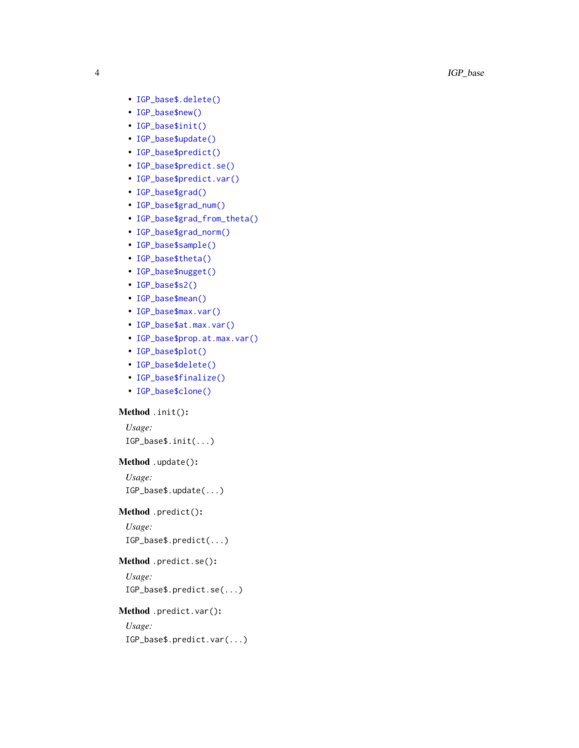- [IGP\\_base\\$.delete\(\)](#page-3-5)
- [IGP\\_base\\$new\(\)](#page-4-0)
- [IGP\\_base\\$init\(\)](#page-4-1)
- [IGP\\_base\\$update\(\)](#page-4-2)
- [IGP\\_base\\$predict\(\)](#page-4-3)
- [IGP\\_base\\$predict.se\(\)](#page-4-4)
- [IGP\\_base\\$predict.var\(\)](#page-4-5)
- [IGP\\_base\\$grad\(\)](#page-4-6)
- [IGP\\_base\\$grad\\_num\(\)](#page-4-7)
- [IGP\\_base\\$grad\\_from\\_theta\(\)](#page-4-8)
- [IGP\\_base\\$grad\\_norm\(\)](#page-5-0)
- [IGP\\_base\\$sample\(\)](#page-5-1)
- [IGP\\_base\\$theta\(\)](#page-5-2)
- [IGP\\_base\\$nugget\(\)](#page-5-3)
- [IGP\\_base\\$s2\(\)](#page-5-4)
- [IGP\\_base\\$mean\(\)](#page-5-5)
- [IGP\\_base\\$max.var\(\)](#page-5-6)
- [IGP\\_base\\$at.max.var\(\)](#page-5-7)
- [IGP\\_base\\$prop.at.max.var\(\)](#page-5-8)
- [IGP\\_base\\$plot\(\)](#page-5-9)
- [IGP\\_base\\$delete\(\)](#page-5-10)
- [IGP\\_base\\$finalize\(\)](#page-6-1)
- [IGP\\_base\\$clone\(\)](#page-6-2)

#### <span id="page-3-0"></span>Method .init() :

*Usage:*

IGP\_base\$.init(...)

#### <span id="page-3-1"></span>Method .update() :

*Usage:*

IGP\_base\$.update(...)

#### <span id="page-3-2"></span>Method .predict() :

*Usage:* IGP\_base\$.predict(...)

#### <span id="page-3-3"></span>Method .predict.se() :

*Usage:*

IGP\_base\$.predict.se(...)

#### <span id="page-3-4"></span>Method .predict.var() :

*Usage:*

<span id="page-3-5"></span>IGP\_base\$.predict.var(...)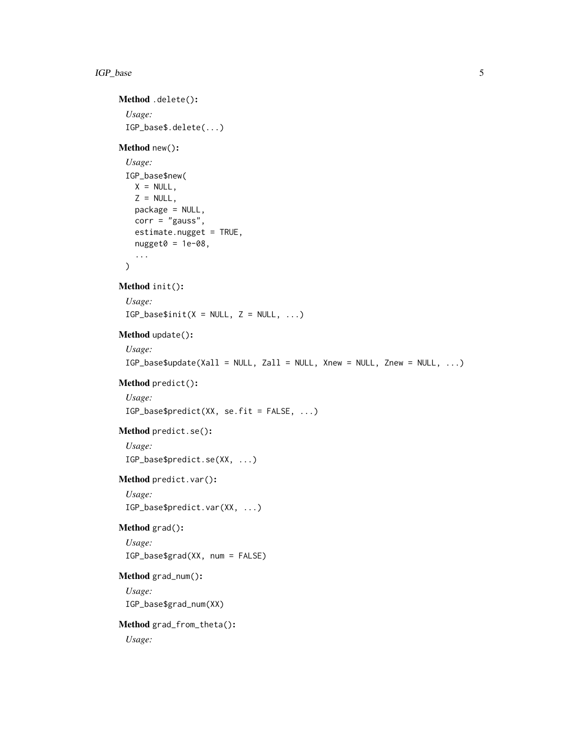#### IGP\_base 5

```
Method .delete():
 Usage:
 IGP_base$.delete(...)
Method new():
 Usage:
 IGP_base$new(
   X = NULL,Z = NULL,package = NULL,
   corr = "gauss",estimate.nugget = TRUE,
   nugget0 = 1e-08,
   ...
 \mathcal{L}Method init():
 Usage:
 IGP\_base$init(X = NULL, Z = NULL, ...)Method update():
 Usage:
 IGP_base$update(Xall = NULL, Zall = NULL, Xnew = NULL, Znew = NULL, ...)
Method predict():
 Usage:
 IGP_base$predict(XX, se.fit = FALSE, ...)
Method predict.se():
 Usage:
 IGP_base$predict.se(XX, ...)
Method predict.var():
 Usage:
 IGP_base$predict.var(XX, ...)
Method grad():
 Usage:
 IGP_base$grad(XX, num = FALSE)
Method grad_num():
 Usage:
 IGP_base$grad_num(XX)
Method grad_from_theta():
 Usage:
```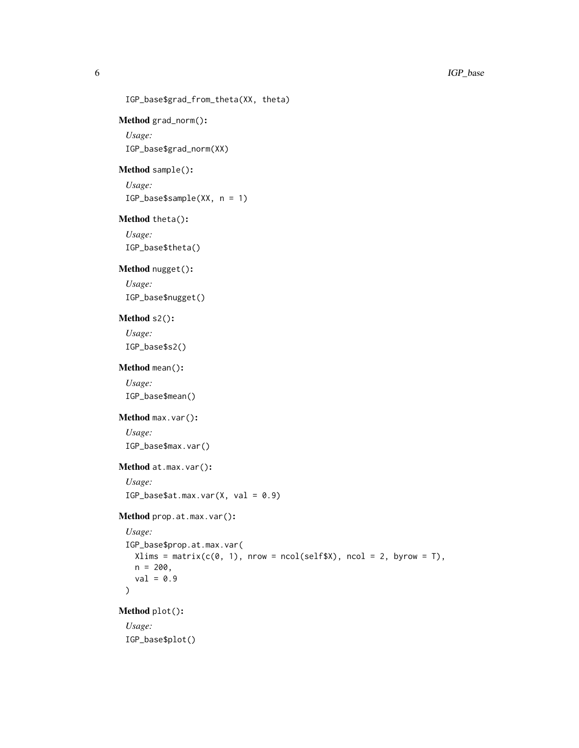```
IGP_base$grad_from_theta(XX, theta)
```

```
Method grad_norm():
```
*Usage:* IGP\_base\$grad\_norm(XX)

#### <span id="page-5-1"></span>Method sample():

*Usage:* IGP\_base\$sample(XX, n = 1)

#### <span id="page-5-2"></span>Method theta():

*Usage:* IGP\_base\$theta()

#### <span id="page-5-3"></span>Method nugget():

*Usage:* IGP\_base\$nugget()

#### <span id="page-5-4"></span>Method s2():

*Usage:* IGP\_base\$s2()

## <span id="page-5-5"></span>Method mean():

*Usage:* IGP\_base\$mean()

#### <span id="page-5-6"></span>Method max.var():

*Usage:*

IGP\_base\$max.var()

## <span id="page-5-7"></span>Method at.max.var():

*Usage:*  $IGP\_base$ \$at.max.var $(X, val = 0.9)$ 

```
Method prop.at.max.var():
```

```
Usage:
IGP_base$prop.at.max.var(
 Xlims = matrix(c(0, 1), nrow = ncol(self $X), ncol = 2, byrow = T),n = 200,val = 0.9\mathcal{L}
```
<span id="page-5-9"></span>Method plot():

<span id="page-5-10"></span>*Usage:* IGP\_base\$plot()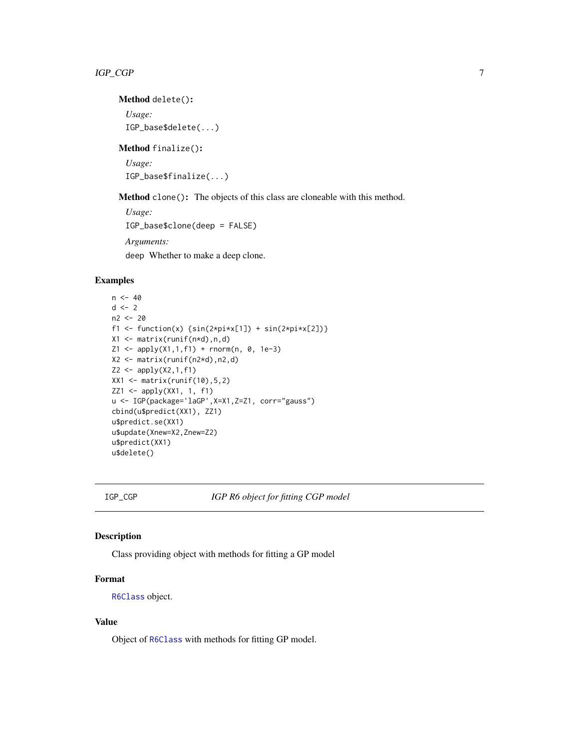<span id="page-6-0"></span>Method delete():

*Usage:* IGP\_base\$delete(...)

<span id="page-6-1"></span>Method finalize(): *Usage:*

IGP\_base\$finalize(...)

<span id="page-6-2"></span>Method clone(): The objects of this class are cloneable with this method.

*Usage:* IGP\_base\$clone(deep = FALSE) *Arguments:* deep Whether to make a deep clone.

## Examples

```
n < -40d \le -2n2 <- 20
f1 <- function(x) {\sin(2 \times \pi) \times \sin(2 \times \pi) + \sin(2 \times \pi) \times \cos(2)}
X1 <- matrix(runif(n*d),n,d)
Z1 \leq - apply(X1,1,f1) + rnorm(n, 0, 1e-3)
X2 <- matrix(runif(n2*d),n2,d)
Z2 \le - apply(X2,1,f1)
XX1 <- matrix(runif(10),5,2)
ZZ1 \leftarrow apply(XX1, 1, f1)u <- IGP(package='laGP',X=X1,Z=Z1, corr="gauss")
cbind(u$predict(XX1), ZZ1)
u$predict.se(XX1)
u$update(Xnew=X2,Znew=Z2)
u$predict(XX1)
u$delete()
```
IGP\_CGP *IGP R6 object for fitting CGP model*

## Description

Class providing object with methods for fitting a GP model

## Format

[R6Class](#page-0-0) object.

## Value

Object of [R6Class](#page-0-0) with methods for fitting GP model.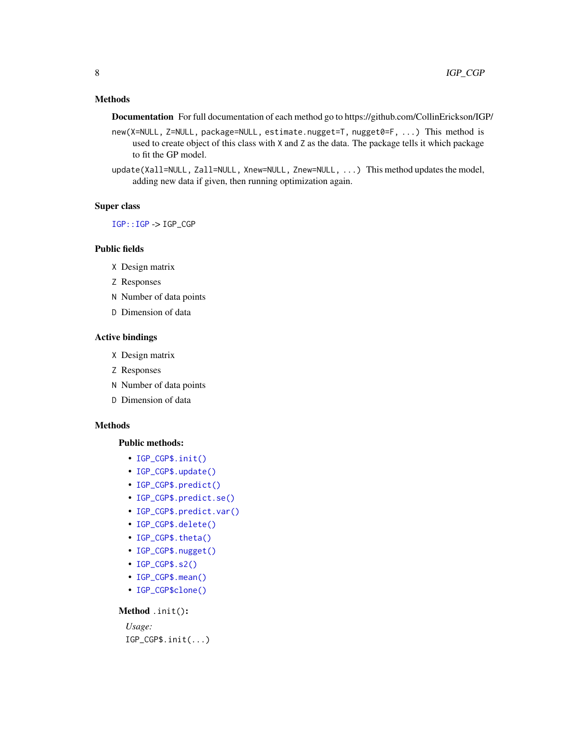## <span id="page-7-0"></span>Methods

Documentation For full documentation of each method go to https://github.com/CollinErickson/IGP/

- new(X=NULL, Z=NULL, package=NULL, estimate.nugget=T, nugget0=F, ...) This method is used to create object of this class with X and Z as the data. The package tells it which package to fit the GP model.
- update(Xall=NULL, Zall=NULL, Xnew=NULL, Znew=NULL, ...) This method updates the model, adding new data if given, then running optimization again.

#### Super class

[IGP::IGP](#page-0-0) -> IGP\_CGP

#### Public fields

- X Design matrix
- Z Responses
- N Number of data points
- D Dimension of data

#### Active bindings

- X Design matrix
- Z Responses
- N Number of data points
- D Dimension of data

#### Methods

#### Public methods:

- [IGP\\_CGP\\$.init\(\)](#page-3-0)
- [IGP\\_CGP\\$.update\(\)](#page-3-1)
- [IGP\\_CGP\\$.predict\(\)](#page-3-2)
- [IGP\\_CGP\\$.predict.se\(\)](#page-3-3)
- [IGP\\_CGP\\$.predict.var\(\)](#page-3-4)
- [IGP\\_CGP\\$.delete\(\)](#page-3-5)
- [IGP\\_CGP\\$.theta\(\)](#page-8-0)
- [IGP\\_CGP\\$.nugget\(\)](#page-8-1)
- [IGP\\_CGP\\$.s2\(\)](#page-8-2)
- [IGP\\_CGP\\$.mean\(\)](#page-8-3)
- [IGP\\_CGP\\$clone\(\)](#page-6-2)

#### Method .init():

## *Usage:* IGP\_CGP\$.init(...)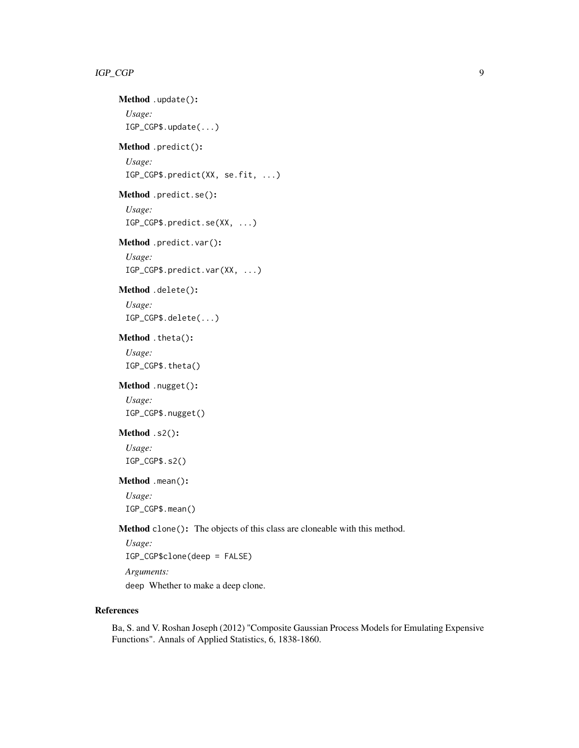## Method .update(): *Usage:* IGP\_CGP\$.update(...)

## Method .predict():

```
Usage:
```
IGP\_CGP\$.predict(XX, se.fit, ...)

## Method .predict.se():

*Usage:* IGP\_CGP\$.predict.se(XX, ...)

## Method .predict.var():

*Usage:* IGP\_CGP\$.predict.var(XX, ...)

## Method .delete():

*Usage:* IGP\_CGP\$.delete(...)

## <span id="page-8-0"></span>Method .theta():

*Usage:* IGP\_CGP\$.theta()

## <span id="page-8-1"></span>Method .nugget():

*Usage:* IGP\_CGP\$.nugget()

## <span id="page-8-2"></span>Method .s2():

*Usage:* IGP\_CGP\$.s2()

#### <span id="page-8-3"></span>Method .mean():

*Usage:* IGP\_CGP\$.mean()

Method clone(): The objects of this class are cloneable with this method.

*Usage:* IGP\_CGP\$clone(deep = FALSE) *Arguments:* deep Whether to make a deep clone.

#### References

Ba, S. and V. Roshan Joseph (2012) "Composite Gaussian Process Models for Emulating Expensive Functions". Annals of Applied Statistics, 6, 1838-1860.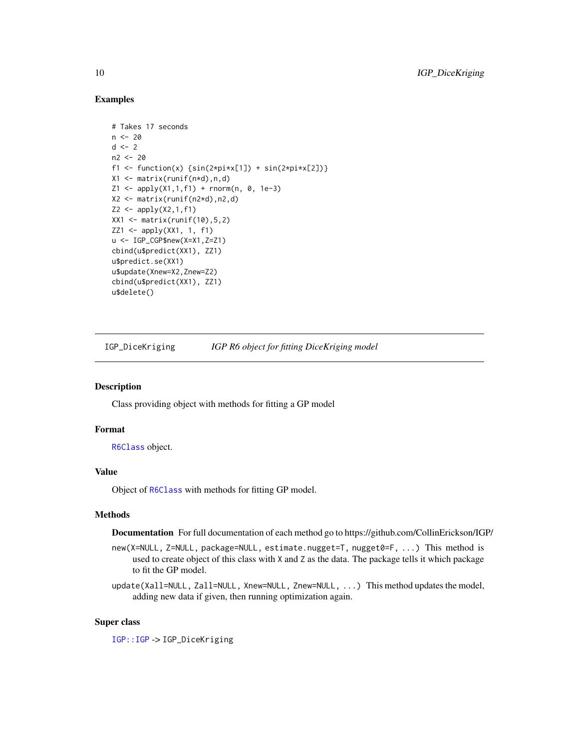#### Examples

```
# Takes 17 seconds
n < -20d \leq -2n2 <- 20
f1 <- function(x) {\sin(2 \times \pi) \times \sin(2 \times \pi) + \sin(2 \times \pi) \times \cos(2)}
X1 <- matrix(runif(n*d),n,d)
Z1 \leq - apply(X1,1,f1) + rnorm(n, 0, 1e-3)
X2 \leq - matrix(runif(n2*d),n2,d)
Z2 \leq - apply(X2,1,f1)
XX1 <- matrix(runif(10),5,2)
ZZ1 <- apply(XX1, 1, f1)
u <- IGP_CGP$new(X=X1,Z=Z1)
cbind(u$predict(XX1), ZZ1)
u$predict.se(XX1)
u$update(Xnew=X2,Znew=Z2)
cbind(u$predict(XX1), ZZ1)
u$delete()
```
IGP\_DiceKriging *IGP R6 object for fitting DiceKriging model*

#### Description

Class providing object with methods for fitting a GP model

#### Format

[R6Class](#page-0-0) object.

## Value

Object of [R6Class](#page-0-0) with methods for fitting GP model.

### Methods

Documentation For full documentation of each method go to https://github.com/CollinErickson/IGP/

- new(X=NULL, Z=NULL, package=NULL, estimate.nugget=T, nugget0=F, ...) This method is used to create object of this class with X and Z as the data. The package tells it which package to fit the GP model.
- update(Xall=NULL, Zall=NULL, Xnew=NULL, Znew=NULL, ...) This method updates the model, adding new data if given, then running optimization again.

## Super class

[IGP::IGP](#page-0-0) -> IGP\_DiceKriging

<span id="page-9-0"></span>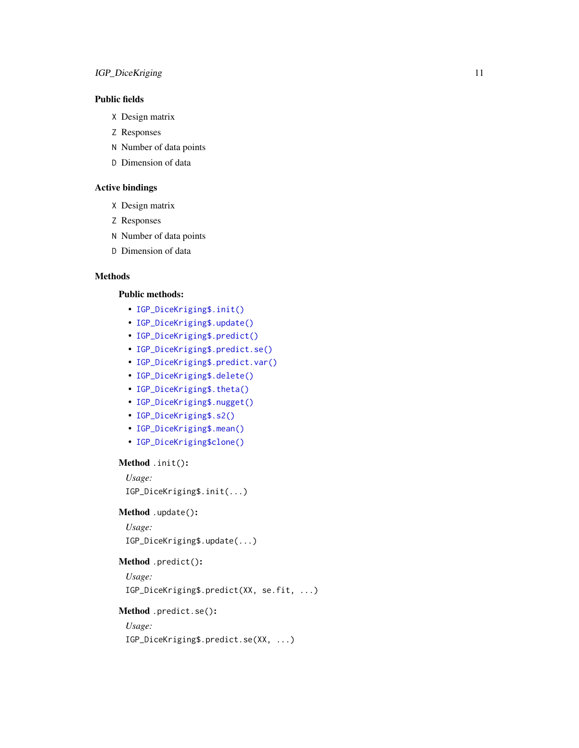## IGP\_DiceKriging 11

## Public fields

- X Design matrix
- Z Responses
- N Number of data points
- D Dimension of data

## Active bindings

- X Design matrix
- Z Responses
- N Number of data points
- D Dimension of data

#### Methods

#### Public methods:

- [IGP\\_DiceKriging\\$.init\(\)](#page-3-0)
- [IGP\\_DiceKriging\\$.update\(\)](#page-3-1)
- [IGP\\_DiceKriging\\$.predict\(\)](#page-3-2)
- [IGP\\_DiceKriging\\$.predict.se\(\)](#page-3-3)
- [IGP\\_DiceKriging\\$.predict.var\(\)](#page-3-4)
- [IGP\\_DiceKriging\\$.delete\(\)](#page-3-5)
- [IGP\\_DiceKriging\\$.theta\(\)](#page-8-0)
- [IGP\\_DiceKriging\\$.nugget\(\)](#page-8-1)
- [IGP\\_DiceKriging\\$.s2\(\)](#page-8-2)
- [IGP\\_DiceKriging\\$.mean\(\)](#page-8-3)
- [IGP\\_DiceKriging\\$clone\(\)](#page-6-2)

#### Method .init():

```
Usage:
IGP_DiceKriging$.init(...)
```
#### Method .update():

```
Usage:
IGP_DiceKriging$.update(...)
```
### Method .predict():

*Usage:* IGP\_DiceKriging\$.predict(XX, se.fit, ...)

#### Method .predict.se():

## *Usage:*

IGP\_DiceKriging\$.predict.se(XX, ...)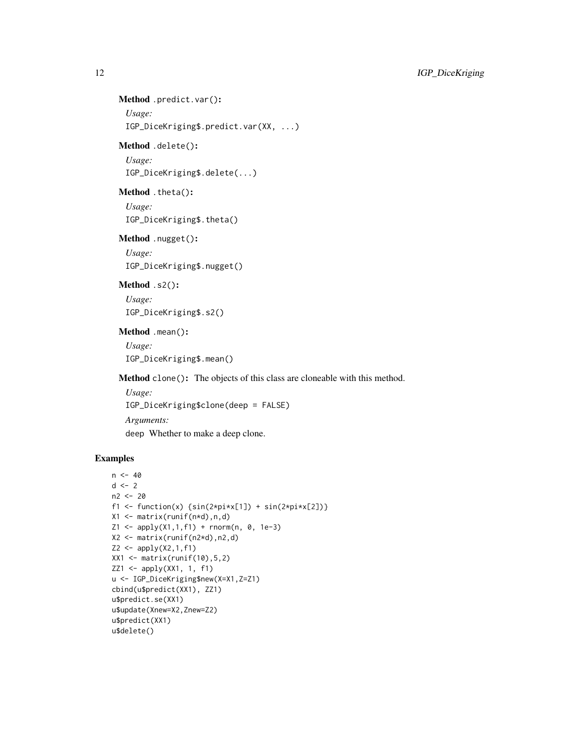## Method .predict.var(): *Usage:*

IGP\_DiceKriging\$.predict.var(XX, ...)

## Method .delete():

*Usage:*

IGP\_DiceKriging\$.delete(...)

## Method .theta():

*Usage:* IGP\_DiceKriging\$.theta()

### Method .nugget():

*Usage:* IGP\_DiceKriging\$.nugget()

## Method .s2():

*Usage:* IGP\_DiceKriging\$.s2()

## Method .mean():

*Usage:* IGP\_DiceKriging\$.mean()

Method clone(): The objects of this class are cloneable with this method.

*Usage:* IGP\_DiceKriging\$clone(deep = FALSE) *Arguments:*

deep Whether to make a deep clone.

```
n < -40d \leq -2n2 < -20f1 <- function(x) {\sin(2 \times \pi) \times \sin(2 \times \pi) + \sin(2 \times \pi) \times \cos(2)}
X1 \leftarrow matrix(runit(n*d), n, d)Z1 <- apply(X1,1,f1) + rnorm(n, 0, 1e-3)
X2 <- matrix(runif(n2*d),n2,d)
Z2 \le apply(X2,1,f1)
XX1 \leftarrow matrix(runif(10), 5, 2)ZZ1 <- apply(XX1, 1, f1)
u <- IGP_DiceKriging$new(X=X1,Z=Z1)
cbind(u$predict(XX1), ZZ1)
u$predict.se(XX1)
u$update(Xnew=X2,Znew=Z2)
u$predict(XX1)
u$delete()
```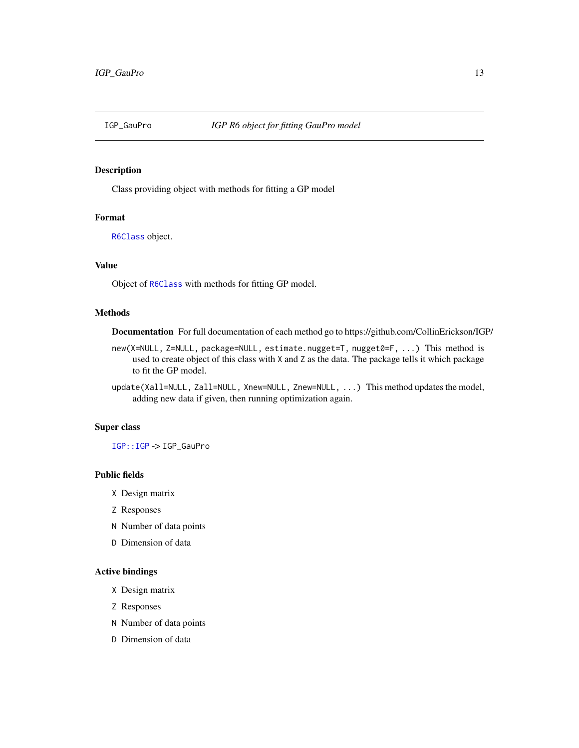<span id="page-12-0"></span>

#### Description

Class providing object with methods for fitting a GP model

#### Format

[R6Class](#page-0-0) object.

## Value

Object of [R6Class](#page-0-0) with methods for fitting GP model.

#### Methods

Documentation For full documentation of each method go to https://github.com/CollinErickson/IGP/

- new(X=NULL, Z=NULL, package=NULL, estimate.nugget=T, nugget0=F, ...) This method is used to create object of this class with X and Z as the data. The package tells it which package to fit the GP model.
- update(Xall=NULL, Zall=NULL, Xnew=NULL, Znew=NULL, ...) This method updates the model, adding new data if given, then running optimization again.

#### Super class

[IGP::IGP](#page-0-0) -> IGP\_GauPro

#### Public fields

- X Design matrix
- Z Responses
- N Number of data points
- D Dimension of data

## Active bindings

- X Design matrix
- Z Responses
- N Number of data points
- D Dimension of data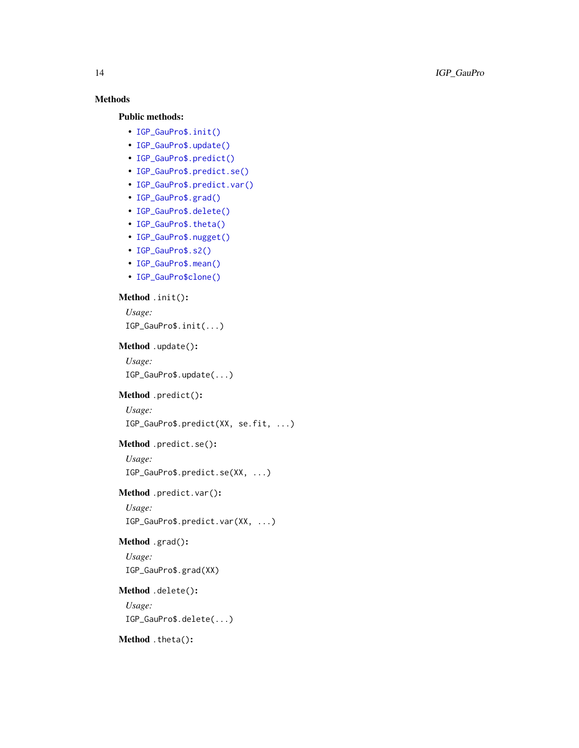## Methods

## Public methods:

- [IGP\\_GauPro\\$.init\(\)](#page-3-0)
- [IGP\\_GauPro\\$.update\(\)](#page-3-1)
- [IGP\\_GauPro\\$.predict\(\)](#page-3-2)
- [IGP\\_GauPro\\$.predict.se\(\)](#page-3-3)
- [IGP\\_GauPro\\$.predict.var\(\)](#page-3-4)
- [IGP\\_GauPro\\$.grad\(\)](#page-13-0)
- [IGP\\_GauPro\\$.delete\(\)](#page-3-5)
- [IGP\\_GauPro\\$.theta\(\)](#page-8-0)
- [IGP\\_GauPro\\$.nugget\(\)](#page-8-1)
- [IGP\\_GauPro\\$.s2\(\)](#page-8-2)
- [IGP\\_GauPro\\$.mean\(\)](#page-8-3)
- [IGP\\_GauPro\\$clone\(\)](#page-6-2)

## Method .init():

*Usage:* IGP\_GauPro\$.init(...)

#### Method .update():

*Usage:* IGP\_GauPro\$.update(...)

## Method .predict():

```
Usage:
```
IGP\_GauPro\$.predict(XX, se.fit, ...)

### Method .predict.se():

*Usage:*

IGP\_GauPro\$.predict.se(XX, ...)

## Method .predict.var():

*Usage:*

IGP\_GauPro\$.predict.var(XX, ...)

## <span id="page-13-0"></span>Method .grad():

*Usage:* IGP\_GauPro\$.grad(XX)

#### Method .delete():

*Usage:* IGP\_GauPro\$.delete(...)

## Method .theta():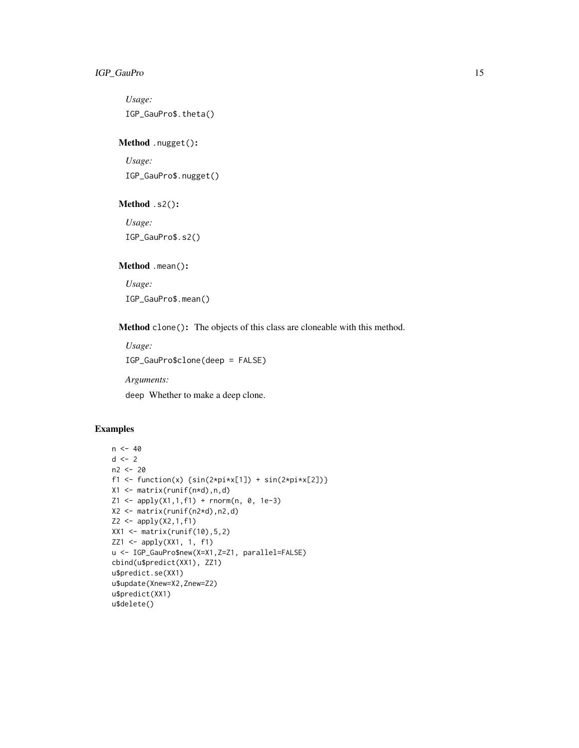*Usage:* IGP\_GauPro\$.theta()

Method .nugget():

*Usage:* IGP\_GauPro\$.nugget()

Method .s2():

*Usage:* IGP\_GauPro\$.s2()

Method .mean():

*Usage:*

IGP\_GauPro\$.mean()

Method clone(): The objects of this class are cloneable with this method.

*Usage:* IGP\_GauPro\$clone(deep = FALSE) *Arguments:* deep Whether to make a deep clone.

```
n < -40d \le -2n2 < -20f1 <- function(x) {\sin(2 \times \pi) \times \sin(2 \times \pi) + \sin(2 \times \pi) \times \sin(2 \times \pi)}
X1 <- matrix(runif(n*d),n,d)
Z1 \leq - apply(X1,1,f1) + rnorm(n, 0, 1e-3)
X2 <- matrix(runif(n2*d),n2,d)
Z2 \le apply(X2,1,f1)
XX1 <- matrix(runif(10),5,2)
ZZ1 <- apply(XX1, 1, f1)
u <- IGP_GauPro$new(X=X1,Z=Z1, parallel=FALSE)
cbind(u$predict(XX1), ZZ1)
u$predict.se(XX1)
u$update(Xnew=X2,Znew=Z2)
u$predict(XX1)
u$delete()
```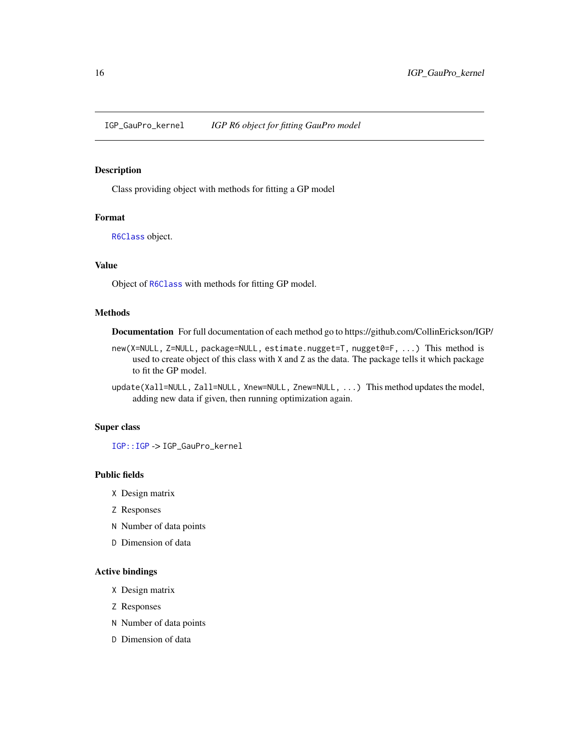<span id="page-15-0"></span>IGP\_GauPro\_kernel *IGP R6 object for fitting GauPro model*

#### Description

Class providing object with methods for fitting a GP model

### Format

[R6Class](#page-0-0) object.

## Value

Object of [R6Class](#page-0-0) with methods for fitting GP model.

#### Methods

Documentation For full documentation of each method go to https://github.com/CollinErickson/IGP/

- new(X=NULL, Z=NULL, package=NULL, estimate.nugget=T, nugget0=F, ...) This method is used to create object of this class with X and Z as the data. The package tells it which package to fit the GP model.
- update(Xall=NULL, Zall=NULL, Xnew=NULL, Znew=NULL, ...) This method updates the model, adding new data if given, then running optimization again.

## Super class

[IGP::IGP](#page-0-0) -> IGP\_GauPro\_kernel

#### Public fields

- X Design matrix
- Z Responses
- N Number of data points
- D Dimension of data

## Active bindings

- X Design matrix
- Z Responses
- N Number of data points
- D Dimension of data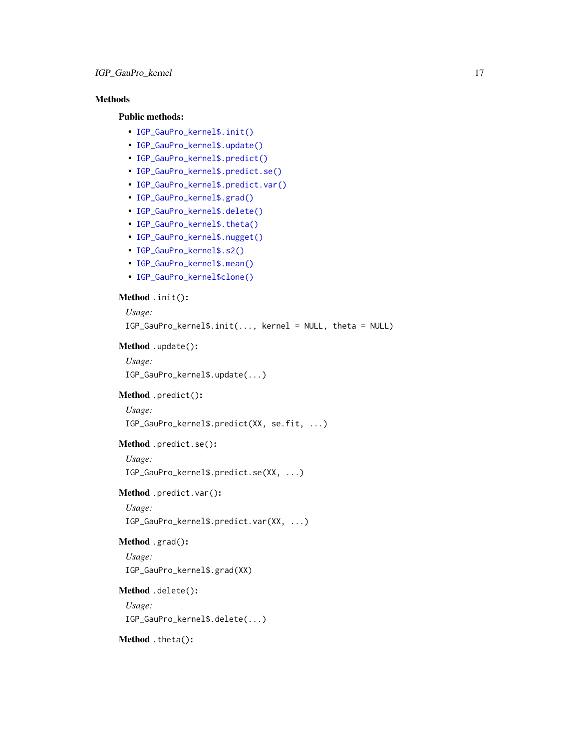## Methods

#### Public methods:

- [IGP\\_GauPro\\_kernel\\$.init\(\)](#page-3-0)
- [IGP\\_GauPro\\_kernel\\$.update\(\)](#page-3-1)
- [IGP\\_GauPro\\_kernel\\$.predict\(\)](#page-3-2)
- [IGP\\_GauPro\\_kernel\\$.predict.se\(\)](#page-3-3)
- [IGP\\_GauPro\\_kernel\\$.predict.var\(\)](#page-3-4)
- [IGP\\_GauPro\\_kernel\\$.grad\(\)](#page-13-0)
- [IGP\\_GauPro\\_kernel\\$.delete\(\)](#page-3-5)
- [IGP\\_GauPro\\_kernel\\$.theta\(\)](#page-8-0)
- [IGP\\_GauPro\\_kernel\\$.nugget\(\)](#page-8-1)
- [IGP\\_GauPro\\_kernel\\$.s2\(\)](#page-8-2)
- [IGP\\_GauPro\\_kernel\\$.mean\(\)](#page-8-3)
- [IGP\\_GauPro\\_kernel\\$clone\(\)](#page-6-2)

## Method .init():

```
Usage:
 IGP_GauPro_kernel$.init(..., kernel = NULL, theta = NULL)
Method .update():
 Usage:
 IGP_GauPro_kernel$.update(...)
Method .predict():
 Usage:
 IGP_GauPro_kernel$.predict(XX, se.fit, ...)
Method .predict.se():
 Usage:
 IGP_GauPro_kernel$.predict.se(XX, ...)
Method .predict.var():
 Usage:
 IGP_GauPro_kernel$.predict.var(XX, ...)
Method .grad():
```
## *Usage:*

IGP\_GauPro\_kernel\$.grad(XX)

## Method .delete():

*Usage:* IGP\_GauPro\_kernel\$.delete(...)

Method .theta():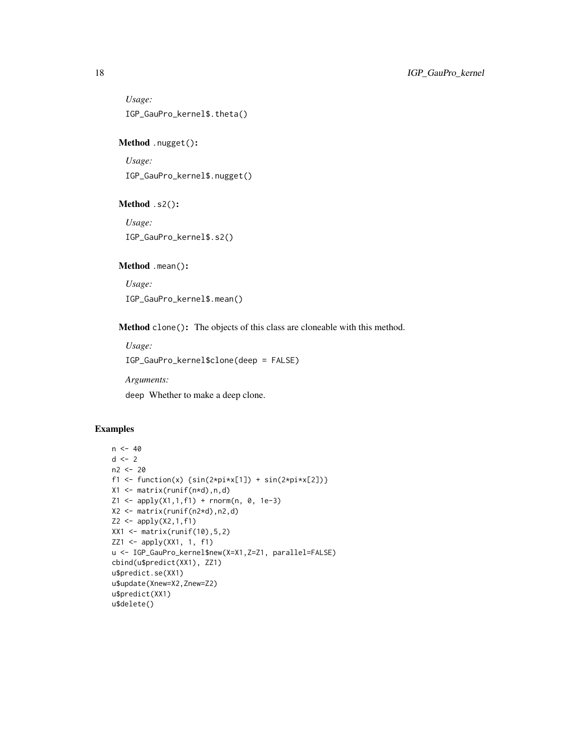*Usage:* IGP\_GauPro\_kernel\$.theta()

Method .nugget():

*Usage:* IGP\_GauPro\_kernel\$.nugget()

Method .s2():

*Usage:* IGP\_GauPro\_kernel\$.s2()

Method .mean():

*Usage:*

IGP\_GauPro\_kernel\$.mean()

Method clone(): The objects of this class are cloneable with this method.

*Usage:* IGP\_GauPro\_kernel\$clone(deep = FALSE)

*Arguments:*

deep Whether to make a deep clone.

```
n < -40d \leq -2n2 < -20f1 <- function(x) {\sin(2 \times \pi) \times \sin(2 \times \pi) + \sin(2 \times \pi) \times \sin(2 \times \pi)}
X1 <- matrix(runif(n*d),n,d)
Z1 \leq - apply(X1,1,f1) + rnorm(n, 0, 1e-3)
X2 <- matrix(runif(n2*d),n2,d)
Z2 \le apply(X2,1,f1)
XX1 <- matrix(runif(10),5,2)
ZZ1 <- apply(XX1, 1, f1)
u <- IGP_GauPro_kernel$new(X=X1,Z=Z1, parallel=FALSE)
cbind(u$predict(XX1), ZZ1)
u$predict.se(XX1)
u$update(Xnew=X2,Znew=Z2)
u$predict(XX1)
u$delete()
```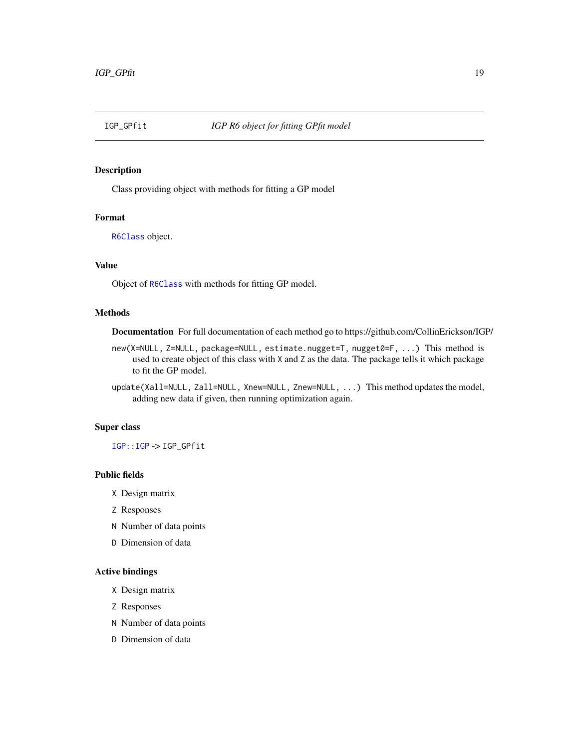<span id="page-18-0"></span>

#### Description

Class providing object with methods for fitting a GP model

## Format

[R6Class](#page-0-0) object.

## Value

Object of [R6Class](#page-0-0) with methods for fitting GP model.

#### Methods

Documentation For full documentation of each method go to https://github.com/CollinErickson/IGP/

- new(X=NULL, Z=NULL, package=NULL, estimate.nugget=T, nugget0=F, ...) This method is used to create object of this class with X and Z as the data. The package tells it which package to fit the GP model.
- update(Xall=NULL, Zall=NULL, Xnew=NULL, Znew=NULL, ...) This method updates the model, adding new data if given, then running optimization again.

## Super class

[IGP::IGP](#page-0-0) -> IGP\_GPfit

#### Public fields

- X Design matrix
- Z Responses
- N Number of data points
- D Dimension of data

## Active bindings

- X Design matrix
- Z Responses
- N Number of data points
- D Dimension of data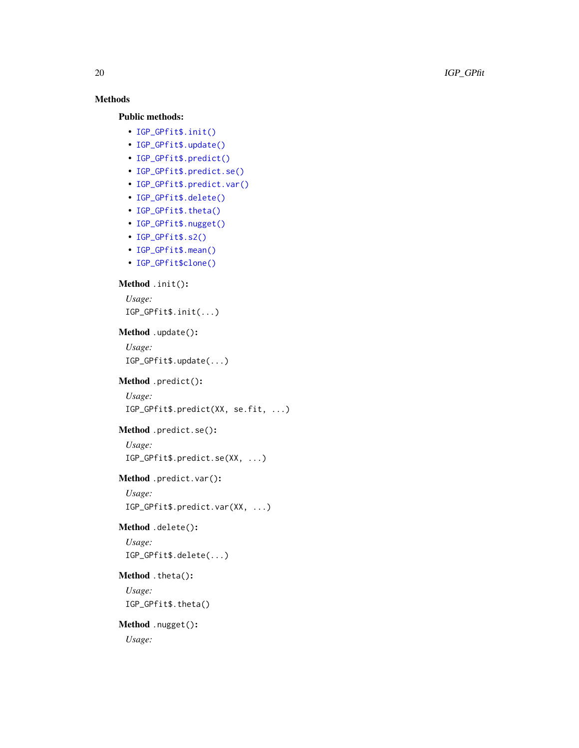## Methods

## Public methods:

- [IGP\\_GPfit\\$.init\(\)](#page-3-0)
- [IGP\\_GPfit\\$.update\(\)](#page-3-1)
- [IGP\\_GPfit\\$.predict\(\)](#page-3-2)
- [IGP\\_GPfit\\$.predict.se\(\)](#page-3-3)
- [IGP\\_GPfit\\$.predict.var\(\)](#page-3-4)
- [IGP\\_GPfit\\$.delete\(\)](#page-3-5)
- [IGP\\_GPfit\\$.theta\(\)](#page-8-0)
- [IGP\\_GPfit\\$.nugget\(\)](#page-8-1)
- [IGP\\_GPfit\\$.s2\(\)](#page-8-2)
- [IGP\\_GPfit\\$.mean\(\)](#page-8-3)
- [IGP\\_GPfit\\$clone\(\)](#page-6-2)

#### Method .init():

*Usage:* IGP\_GPfit\$.init(...)

### Method .update():

*Usage:* IGP\_GPfit\$.update(...)

#### Method .predict():

```
Usage:
```
IGP\_GPfit\$.predict(XX, se.fit, ...)

## Method .predict.se():

*Usage:* IGP\_GPfit\$.predict.se(XX, ...)

Method .predict.var():

*Usage:* IGP\_GPfit\$.predict.var(XX, ...)

#### Method .delete():

*Usage:* IGP\_GPfit\$.delete(...)

#### Method .theta():

*Usage:* IGP\_GPfit\$.theta()

## Method .nugget(): *Usage:*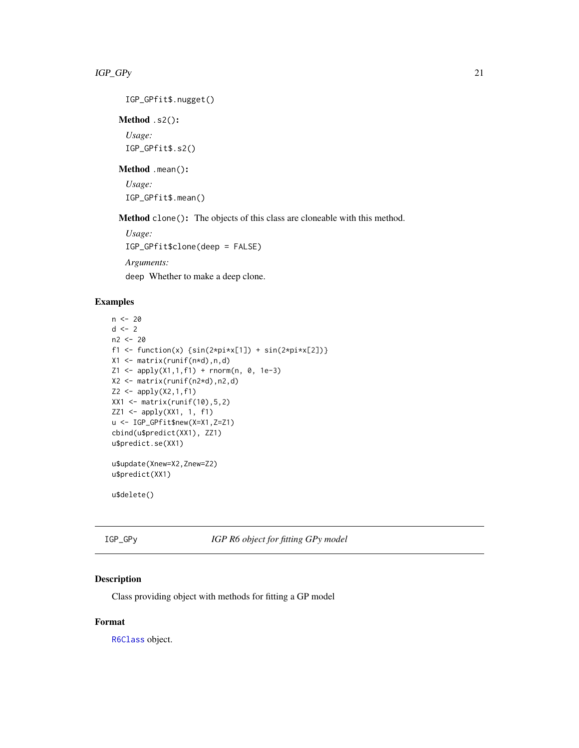<span id="page-20-0"></span>IGP\_GPfit\$.nugget()

Method .s2():

*Usage:* IGP\_GPfit\$.s2()

#### Method .mean():

*Usage:* IGP\_GPfit\$.mean()

Method clone(): The objects of this class are cloneable with this method.

*Usage:* IGP\_GPfit\$clone(deep = FALSE)

*Arguments:*

deep Whether to make a deep clone.

## Examples

```
n < - 20d \le -2n2 <- 20
f1 <- function(x) {\sin(2 \times \pi) \times \sin(2 \times \pi) + \sin(2 \times \pi) \times \cos(2)}
X1 <- matrix(runif(n*d),n,d)
Z1 \leq - apply(X1,1,f1) + rnorm(n, 0, 1e-3)
X2 <- matrix(runif(n2*d),n2,d)
Z2 \le apply(X2,1,f1)
XX1 <- matrix(runif(10), 5, 2)
ZZ1 <- apply(XX1, 1, f1)
u <- IGP_GPfit$new(X=X1,Z=Z1)
cbind(u$predict(XX1), ZZ1)
u$predict.se(XX1)
u$update(Xnew=X2,Znew=Z2)
u$predict(XX1)
```
u\$delete()

IGP\_GPy *IGP R6 object for fitting GPy model*

## Description

Class providing object with methods for fitting a GP model

## Format

[R6Class](#page-0-0) object.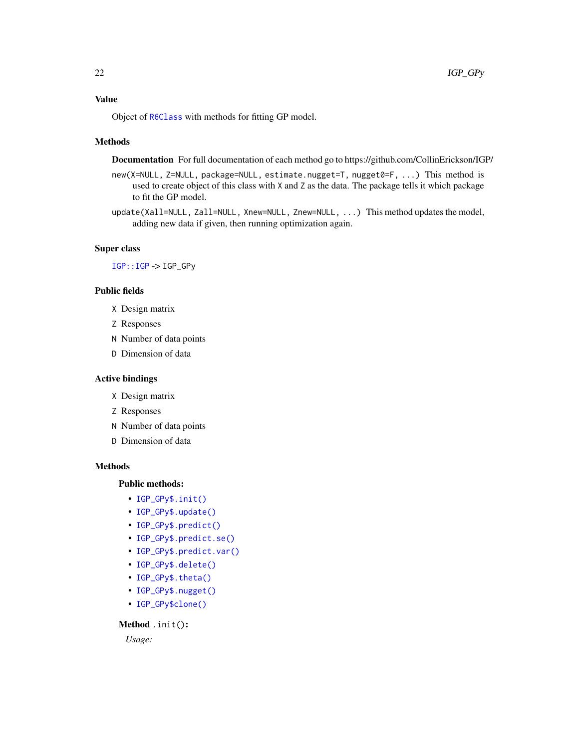## <span id="page-21-0"></span>Value

Object of [R6Class](#page-0-0) with methods for fitting GP model.

#### Methods

Documentation For full documentation of each method go to https://github.com/CollinErickson/IGP/

- new(X=NULL, Z=NULL, package=NULL, estimate.nugget=T, nugget0=F, ...) This method is used to create object of this class with X and Z as the data. The package tells it which package to fit the GP model.
- update(Xall=NULL, Zall=NULL, Xnew=NULL, Znew=NULL, ...) This method updates the model, adding new data if given, then running optimization again.

## Super class

[IGP::IGP](#page-0-0) -> IGP\_GPy

## Public fields

- X Design matrix
- Z Responses
- N Number of data points
- D Dimension of data

## Active bindings

- X Design matrix
- Z Responses
- N Number of data points
- D Dimension of data

#### Methods

#### Public methods:

- [IGP\\_GPy\\$.init\(\)](#page-3-0)
- [IGP\\_GPy\\$.update\(\)](#page-3-1)
- [IGP\\_GPy\\$.predict\(\)](#page-3-2)
- [IGP\\_GPy\\$.predict.se\(\)](#page-3-3)
- [IGP\\_GPy\\$.predict.var\(\)](#page-3-4)
- [IGP\\_GPy\\$.delete\(\)](#page-3-5)
- [IGP\\_GPy\\$.theta\(\)](#page-8-0)
- [IGP\\_GPy\\$.nugget\(\)](#page-8-1)
- [IGP\\_GPy\\$clone\(\)](#page-6-2)

Method .init():

*Usage:*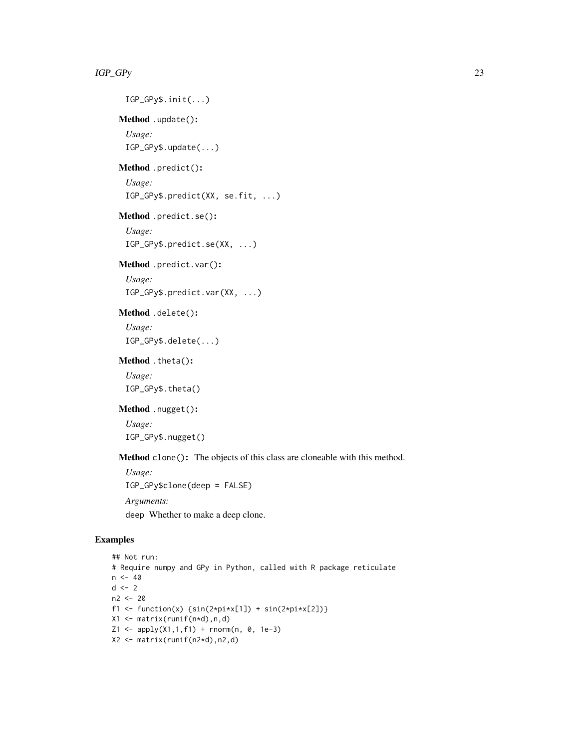```
IGP_GPy$.init(...)
     Method .update():
       Usage:
       IGP_GPy$.update(...)
     Method .predict():
       Usage:
       IGP_GPy$.predict(XX, se.fit, ...)
     Method .predict.se():
       Usage:
       IGP_GPy$.predict.se(XX, ...)
     Method .predict.var():
       Usage:
       IGP_GPy$.predict.var(XX, ...)
     Method .delete():
       Usage:
       IGP_GPy$.delete(...)
     Method .theta():
       Usage:
       IGP_GPy$.theta()
     Method .nugget():
       Usage:
       IGP_GPy$.nugget()
     Method clone(): The objects of this class are cloneable with this method.
       Usage:
       IGP_GPy$clone(deep = FALSE)
      Arguments:
       deep Whether to make a deep clone.
Examples
    ## Not run:
```

```
# Require numpy and GPy in Python, called with R package reticulate
n < -40d \le -2n2 <- 20
f1 <- function(x) {\sin(2 \times \pi) \times [1]} + \sin(2 \times \pi) \times [2])}
X1 <- matrix(runif(n*d),n,d)
Z1 \leq - apply(X1,1,f1) + rnorm(n, 0, 1e-3)
X2 <- matrix(runif(n2*d),n2,d)
```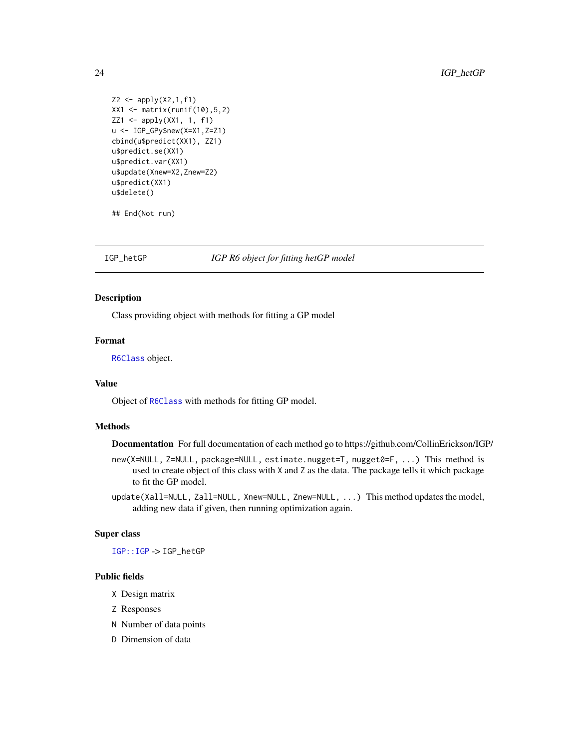```
Z2 \leq - apply(X2,1,f1)
XX1 <- matrix(runif(10),5,2)
ZZ1 <- apply(XX1, 1, f1)
u <- IGP_GPy$new(X=X1,Z=Z1)
cbind(u$predict(XX1), ZZ1)
u$predict.se(XX1)
u$predict.var(XX1)
u$update(Xnew=X2,Znew=Z2)
u$predict(XX1)
u$delete()
```
## End(Not run)

IGP\_hetGP *IGP R6 object for fitting hetGP model*

#### Description

Class providing object with methods for fitting a GP model

#### Format

[R6Class](#page-0-0) object.

#### Value

Object of [R6Class](#page-0-0) with methods for fitting GP model.

## Methods

Documentation For full documentation of each method go to https://github.com/CollinErickson/IGP/

new(X=NULL, Z=NULL, package=NULL, estimate.nugget=T, nugget0=F, ...) This method is used to create object of this class with X and Z as the data. The package tells it which package to fit the GP model.

update(Xall=NULL, Zall=NULL, Xnew=NULL, Znew=NULL, ...) This method updates the model, adding new data if given, then running optimization again.

#### Super class

[IGP::IGP](#page-0-0) -> IGP\_hetGP

#### Public fields

- X Design matrix
- Z Responses
- N Number of data points
- D Dimension of data

<span id="page-23-0"></span>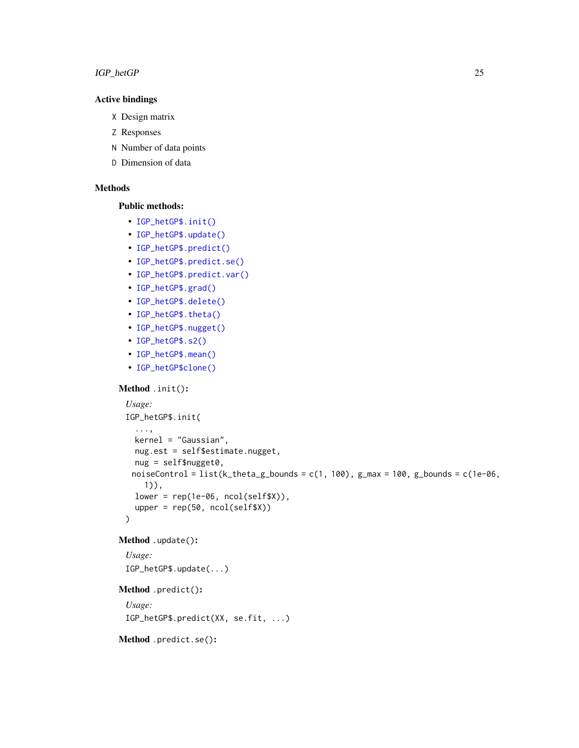## IGP\_hetGP 25

## Active bindings

```
X Design matrix
```
- Z Responses
- N Number of data points
- D Dimension of data

## Methods

#### Public methods:

- [IGP\\_hetGP\\$.init\(\)](#page-3-0)
- [IGP\\_hetGP\\$.update\(\)](#page-3-1)
- [IGP\\_hetGP\\$.predict\(\)](#page-3-2)
- [IGP\\_hetGP\\$.predict.se\(\)](#page-3-3)
- [IGP\\_hetGP\\$.predict.var\(\)](#page-3-4)
- [IGP\\_hetGP\\$.grad\(\)](#page-13-0)
- [IGP\\_hetGP\\$.delete\(\)](#page-3-5)
- [IGP\\_hetGP\\$.theta\(\)](#page-8-0)
- [IGP\\_hetGP\\$.nugget\(\)](#page-8-1)
- [IGP\\_hetGP\\$.s2\(\)](#page-8-2)
- [IGP\\_hetGP\\$.mean\(\)](#page-8-3)
- [IGP\\_hetGP\\$clone\(\)](#page-6-2)

## Method .init():

```
Usage:
IGP_hetGP$.init(
  ...,
 kernel = "Gaussian",
 nug.est = self$estimate.nugget,
 nug = self$nugget0,
 noiseControl = list(k_theta_g_bounds = c(1, 100), g_max = 100, g_bounds = c(1e-06,
    1)),
 lower = rep(1e-06, ncol(self$X)),
 upper = rep(50, ncol(self$X))
)
```
## Method .update():

*Usage:* IGP\_hetGP\$.update(...)

#### Method .predict():

*Usage:*

IGP\_hetGP\$.predict(XX, se.fit, ...)

Method .predict.se():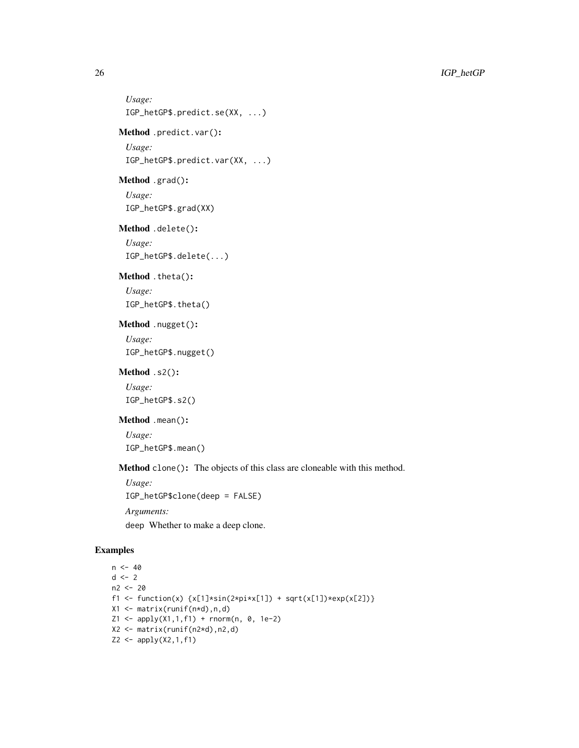```
Usage:
 IGP_hetGP$.predict.se(XX, ...)
Method .predict.var():
 Usage:
 IGP_hetGP$.predict.var(XX, ...)
Method .grad():
 Usage:
 IGP_hetGP$.grad(XX)
Method .delete():
 Usage:
 IGP_hetGP$.delete(...)
Method .theta():
 Usage:
 IGP_hetGP$.theta()
Method .nugget():
 Usage:
 IGP_hetGP$.nugget()
Method .s2():
 Usage:
 IGP_hetGP$.s2()
Method .mean():
 Usage:
```
IGP\_hetGP\$.mean()

Method clone(): The objects of this class are cloneable with this method.

*Usage:* IGP\_hetGP\$clone(deep = FALSE) *Arguments:*

deep Whether to make a deep clone.

```
n < -40d \leq -2n2 <- 20
f1 <- function(x) {x[1]*sin(2*pi*x[1]) + sqrt(x[1])*exp(x[2])}
X1 <- matrix(runif(n*d),n,d)
Z1 \leq - apply(X1,1,f1) + rnorm(n, 0, 1e-2)
X2 <- matrix(runif(n2*d),n2,d)
Z2 \le - apply(X2,1,f1)
```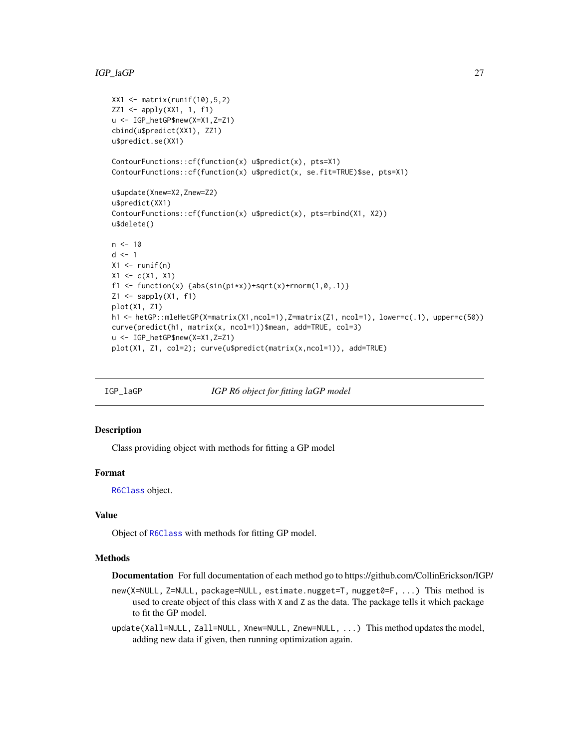```
XX1 <- matrix(runif(10), 5, 2)
ZZ1 <- apply(XX1, 1, f1)
u <- IGP_hetGP$new(X=X1,Z=Z1)
cbind(u$predict(XX1), ZZ1)
u$predict.se(XX1)
ContourFunctions::cf(function(x) u$predict(x), pts=X1)
ContourFunctions::cf(function(x) u$predict(x, se.fit=TRUE)$se, pts=X1)
u$update(Xnew=X2,Znew=Z2)
u$predict(XX1)
ContourFunctions::cf(function(x) u$predict(x), pts=rbind(X1, X2))
u$delete()
n < -10d \leq -1X1 \leftarrow runif(n)X1 \leftarrow c(X1, X1)f1 <- function(x) {abs(sin(pix))+sqrt(x)+rnorm(1,0,.1)}
Z1 \leftarrow sapply(X1, f1)
plot(X1, Z1)
h1 <- hetGP::mleHetGP(X=matrix(X1,ncol=1),Z=matrix(Z1, ncol=1), lower=c(.1), upper=c(50))
curve(predict(h1, matrix(x, ncol=1))$mean, add=TRUE, col=3)
u <- IGP_hetGP$new(X=X1,Z=Z1)
plot(X1, Z1, col=2); curve(u$predict(matrix(x,ncol=1)), add=TRUE)
```
IGP\_laGP *IGP R6 object for fitting laGP model*

#### Description

Class providing object with methods for fitting a GP model

#### Format

[R6Class](#page-0-0) object.

#### Value

Object of [R6Class](#page-0-0) with methods for fitting GP model.

#### **Methods**

Documentation For full documentation of each method go to https://github.com/CollinErickson/IGP/

new(X=NULL, Z=NULL, package=NULL, estimate.nugget=T, nugget0=F, ...) This method is used to create object of this class with X and Z as the data. The package tells it which package to fit the GP model.

update(Xall=NULL, Zall=NULL, Xnew=NULL, Znew=NULL, ...) This method updates the model, adding new data if given, then running optimization again.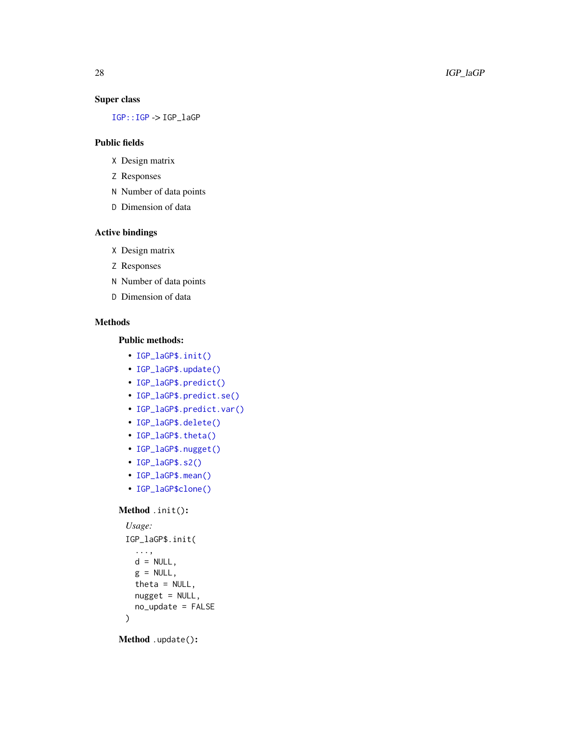## Super class

[IGP::IGP](#page-0-0) -> IGP\_laGP

## Public fields

- X Design matrix
- Z Responses
- N Number of data points
- D Dimension of data

## Active bindings

- X Design matrix
- Z Responses
- N Number of data points
- D Dimension of data

## Methods

## Public methods:

- [IGP\\_laGP\\$.init\(\)](#page-3-0)
- [IGP\\_laGP\\$.update\(\)](#page-3-1)
- [IGP\\_laGP\\$.predict\(\)](#page-3-2)
- [IGP\\_laGP\\$.predict.se\(\)](#page-3-3)
- [IGP\\_laGP\\$.predict.var\(\)](#page-3-4)
- [IGP\\_laGP\\$.delete\(\)](#page-3-5)
- [IGP\\_laGP\\$.theta\(\)](#page-8-0)
- [IGP\\_laGP\\$.nugget\(\)](#page-8-1)
- [IGP\\_laGP\\$.s2\(\)](#page-8-2)
- [IGP\\_laGP\\$.mean\(\)](#page-8-3)
- [IGP\\_laGP\\$clone\(\)](#page-6-2)

#### Method .init() :

```
Usage:
IGP_laGP$.init(
 ...,
 d = NULL,g = NULL,theta = NULL,
 nugget = NULL,no_update = FALSE
)
```
Method .update() :

<span id="page-27-0"></span>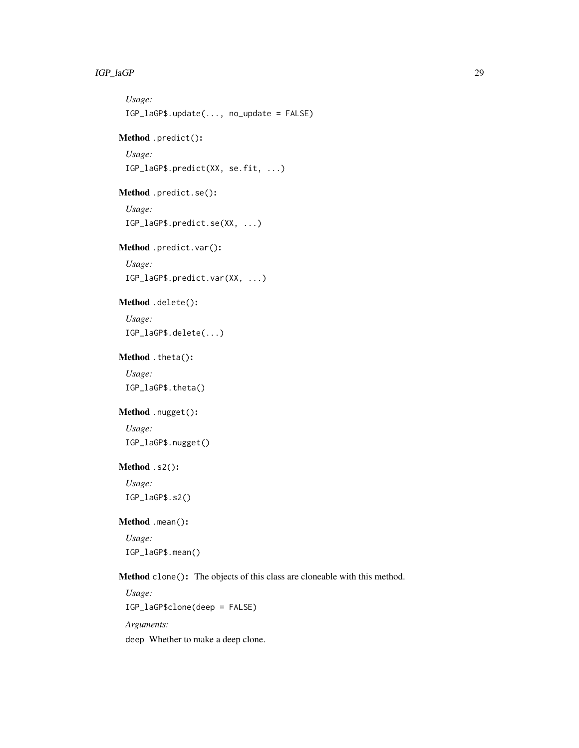## IGP\_laGP 29

```
Usage:
 IGP_laGP$.update(..., no_update = FALSE)
Method .predict():
 Usage:
 IGP_laGP$.predict(XX, se.fit, ...)
Method .predict.se():
 Usage:
 IGP_laGP$.predict.se(XX, ...)
Method .predict.var():
 Usage:
 IGP_laGP$.predict.var(XX, ...)
Method .delete():
 Usage:
 IGP_laGP$.delete(...)
Method .theta():
 Usage:
 IGP_laGP$.theta()
Method .nugget():
 Usage:
 IGP_laGP$.nugget()
Method .s2():
 Usage:
 IGP_laGP$.s2()
Method .mean():
 Usage:
 IGP_laGP$.mean()
Method clone(): The objects of this class are cloneable with this method.
 Usage:
 IGP_laGP$clone(deep = FALSE)
```
*Arguments:* deep Whether to make a deep clone.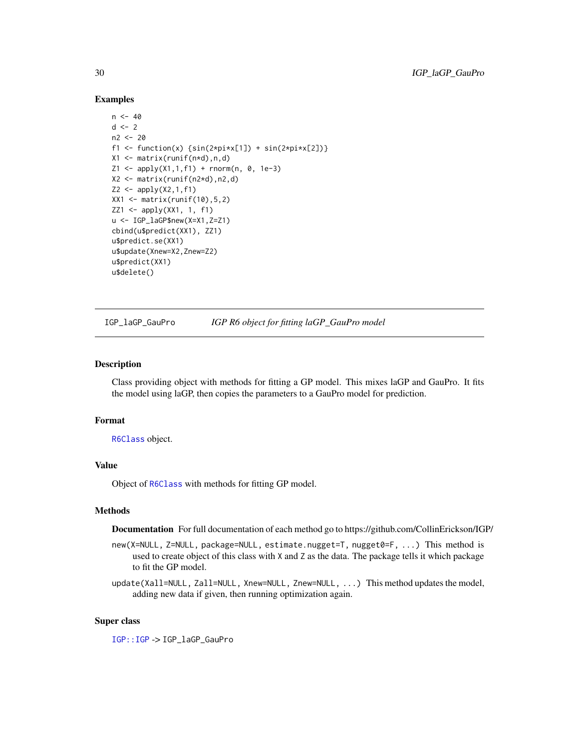#### Examples

```
n < -40d \le -2n2 < -20f1 <- function(x) {\sin(2 \times \pi) \times [1]} + \sin(2 \times \pi) \times [2])}
X1 <- matrix(runif(n*d),n,d)
Z1 \leq - apply(X1,1,f1) + rnorm(n, 0, 1e-3)
X2 \leq - matrix(runif(n2*d),n2,d)
Z2 \le apply(X2,1,f1)
XX1 <- matrix(runif(10), 5, 2)
ZZ1 <- apply(XX1, 1, f1)
u <- IGP_laGP$new(X=X1,Z=Z1)
cbind(u$predict(XX1), ZZ1)
u$predict.se(XX1)
u$update(Xnew=X2,Znew=Z2)
u$predict(XX1)
u$delete()
```
IGP\_laGP\_GauPro *IGP R6 object for fitting laGP\_GauPro model*

#### Description

Class providing object with methods for fitting a GP model. This mixes laGP and GauPro. It fits the model using laGP, then copies the parameters to a GauPro model for prediction.

#### Format

[R6Class](#page-0-0) object.

#### Value

Object of [R6Class](#page-0-0) with methods for fitting GP model.

#### Methods

Documentation For full documentation of each method go to https://github.com/CollinErickson/IGP/

- new(X=NULL, Z=NULL, package=NULL, estimate.nugget=T, nugget0=F, ...) This method is used to create object of this class with X and Z as the data. The package tells it which package to fit the GP model.
- update(Xall=NULL, Zall=NULL, Xnew=NULL, Znew=NULL, ...) This method updates the model, adding new data if given, then running optimization again.

#### Super class

[IGP::IGP](#page-0-0) -> IGP\_laGP\_GauPro

<span id="page-29-0"></span>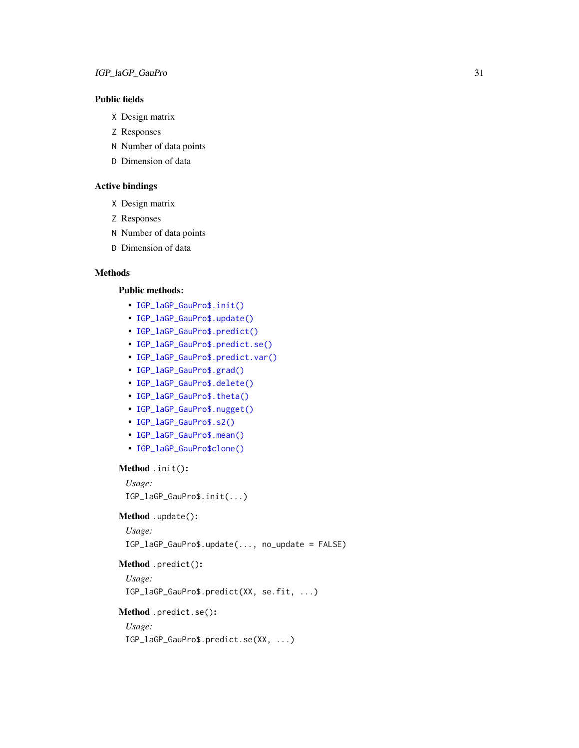## Public fields

- X Design matrix
- Z Responses
- N Number of data points
- D Dimension of data

## Active bindings

- X Design matrix
- Z Responses
- N Number of data points
- D Dimension of data

#### **Methods**

#### Public methods:

- [IGP\\_laGP\\_GauPro\\$.init\(\)](#page-3-0)
- [IGP\\_laGP\\_GauPro\\$.update\(\)](#page-3-1)
- [IGP\\_laGP\\_GauPro\\$.predict\(\)](#page-3-2)
- [IGP\\_laGP\\_GauPro\\$.predict.se\(\)](#page-3-3)
- [IGP\\_laGP\\_GauPro\\$.predict.var\(\)](#page-3-4)
- [IGP\\_laGP\\_GauPro\\$.grad\(\)](#page-13-0)
- [IGP\\_laGP\\_GauPro\\$.delete\(\)](#page-3-5)
- [IGP\\_laGP\\_GauPro\\$.theta\(\)](#page-8-0)
- [IGP\\_laGP\\_GauPro\\$.nugget\(\)](#page-8-1)
- [IGP\\_laGP\\_GauPro\\$.s2\(\)](#page-8-2)
- [IGP\\_laGP\\_GauPro\\$.mean\(\)](#page-8-3)
- [IGP\\_laGP\\_GauPro\\$clone\(\)](#page-6-2)

```
Method .init():
```

```
Usage:
IGP_laGP_GauPro$.init(...)
```
## Method .update():

```
Usage:
```
IGP\_laGP\_GauPro\$.update(..., no\_update = FALSE)

## Method .predict():

```
Usage:
```

```
IGP_laGP_GauPro$.predict(XX, se.fit, ...)
```
#### Method .predict.se():

*Usage:*

```
IGP_laGP_GauPro$.predict.se(XX, ...)
```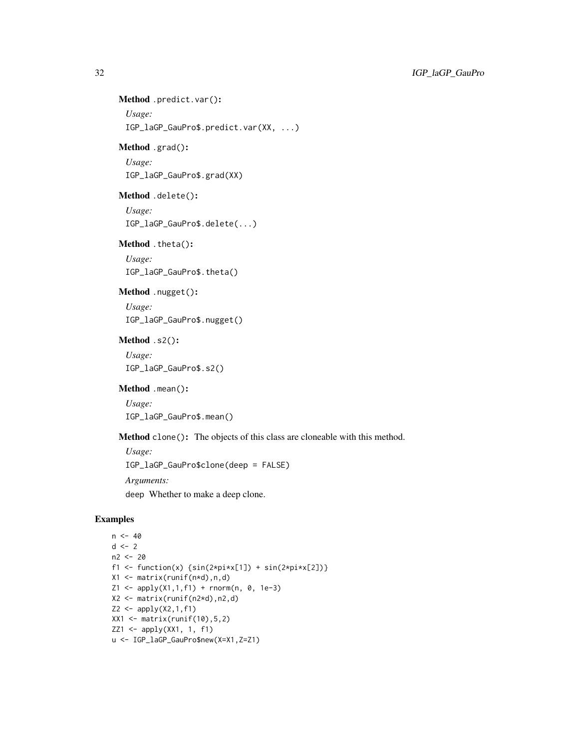## Method .predict.var():

```
Usage:
```
IGP\_laGP\_GauPro\$.predict.var(XX, ...)

## Method .grad():

*Usage:* IGP\_laGP\_GauPro\$.grad(XX)

## Method .delete():

*Usage:* IGP\_laGP\_GauPro\$.delete(...)

### Method .theta():

*Usage:* IGP\_laGP\_GauPro\$.theta()

## Method .nugget():

*Usage:* IGP\_laGP\_GauPro\$.nugget()

## Method .s2():

*Usage:* IGP\_laGP\_GauPro\$.s2()

## Method .mean():

*Usage:* IGP\_laGP\_GauPro\$.mean()

Method clone(): The objects of this class are cloneable with this method.

*Usage:* IGP\_laGP\_GauPro\$clone(deep = FALSE) *Arguments:*

deep Whether to make a deep clone.

```
n < -40d \le -2n2 <- 20
f1 <- function(x) {\sin(2 \times \pi) \times \sin(2 \times \pi) + \sin(2 \times \pi) \times \cos(2)}
X1 \leftarrow matrix(runif(n*d),n,d)Z1 \leq - apply(X1,1,f1) + rnorm(n, 0, 1e-3)
X2 <- matrix(runif(n2*d),n2,d)
Z2 \le - apply(X2,1,f1)
XX1 <- matrix(runif(10),5,2)
ZZ1 \leftarrow apply(XX1, 1, f1)u <- IGP_laGP_GauPro$new(X=X1,Z=Z1)
```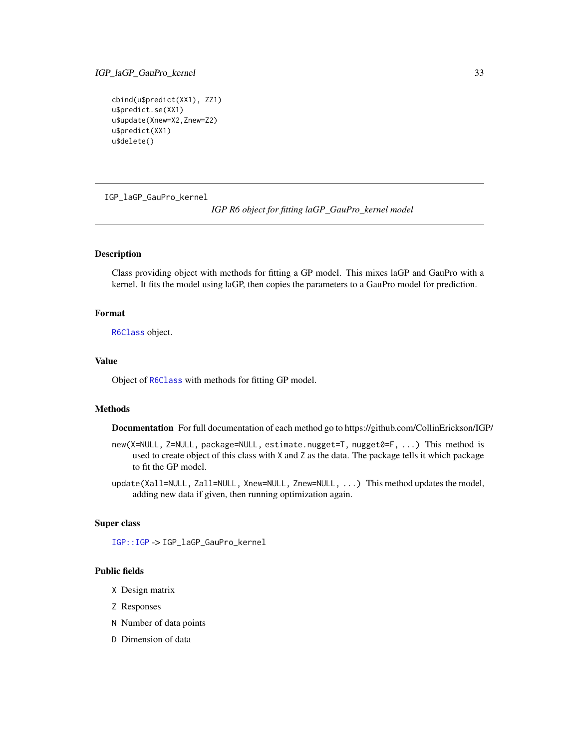## <span id="page-32-0"></span>IGP\_laGP\_GauPro\_kernel 33

```
cbind(u$predict(XX1), ZZ1)
u$predict.se(XX1)
u$update(Xnew=X2,Znew=Z2)
u$predict(XX1)
u$delete()
```
IGP\_laGP\_GauPro\_kernel

*IGP R6 object for fitting laGP\_GauPro\_kernel model*

#### Description

Class providing object with methods for fitting a GP model. This mixes laGP and GauPro with a kernel. It fits the model using laGP, then copies the parameters to a GauPro model for prediction.

#### Format

[R6Class](#page-0-0) object.

#### Value

Object of [R6Class](#page-0-0) with methods for fitting GP model.

#### Methods

Documentation For full documentation of each method go to https://github.com/CollinErickson/IGP/

- new(X=NULL, Z=NULL, package=NULL, estimate.nugget=T, nugget0=F, ...) This method is used to create object of this class with X and Z as the data. The package tells it which package to fit the GP model.
- update(Xall=NULL, Zall=NULL, Xnew=NULL, Znew=NULL, ...) This method updates the model, adding new data if given, then running optimization again.

#### Super class

[IGP::IGP](#page-0-0) -> IGP\_laGP\_GauPro\_kernel

#### Public fields

- X Design matrix
- Z Responses
- N Number of data points
- D Dimension of data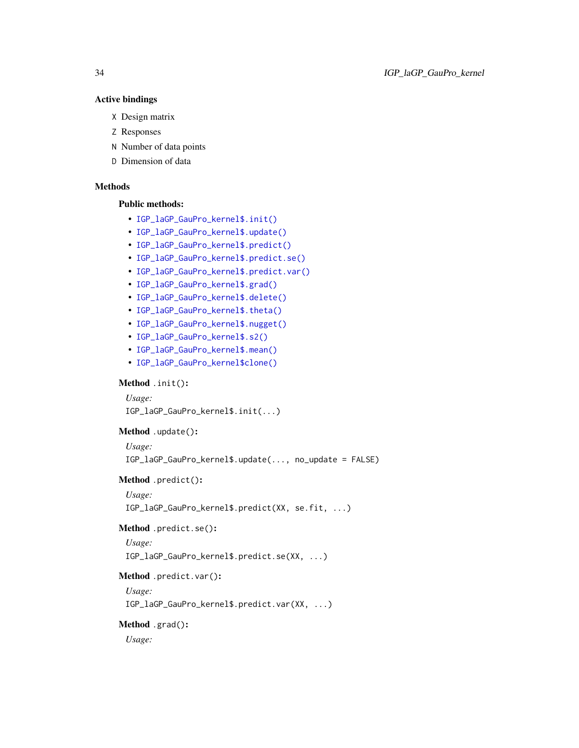#### Active bindings

- X Design matrix
- Z Responses
- N Number of data points
- D Dimension of data

## Methods

### Public methods:

- [IGP\\_laGP\\_GauPro\\_kernel\\$.init\(\)](#page-3-0)
- [IGP\\_laGP\\_GauPro\\_kernel\\$.update\(\)](#page-3-1)
- [IGP\\_laGP\\_GauPro\\_kernel\\$.predict\(\)](#page-3-2)
- [IGP\\_laGP\\_GauPro\\_kernel\\$.predict.se\(\)](#page-3-3)
- [IGP\\_laGP\\_GauPro\\_kernel\\$.predict.var\(\)](#page-3-4)
- [IGP\\_laGP\\_GauPro\\_kernel\\$.grad\(\)](#page-13-0)
- [IGP\\_laGP\\_GauPro\\_kernel\\$.delete\(\)](#page-3-5)
- [IGP\\_laGP\\_GauPro\\_kernel\\$.theta\(\)](#page-8-0)
- [IGP\\_laGP\\_GauPro\\_kernel\\$.nugget\(\)](#page-8-1)
- [IGP\\_laGP\\_GauPro\\_kernel\\$.s2\(\)](#page-8-2)
- [IGP\\_laGP\\_GauPro\\_kernel\\$.mean\(\)](#page-8-3)
- [IGP\\_laGP\\_GauPro\\_kernel\\$clone\(\)](#page-6-2)

#### Method .init():

*Usage:*

IGP\_laGP\_GauPro\_kernel\$.init(...)

## Method .update():

*Usage:*

IGP\_laGP\_GauPro\_kernel\$.update(..., no\_update = FALSE)

#### Method .predict():

*Usage:*

IGP\_laGP\_GauPro\_kernel\$.predict(XX, se.fit, ...)

#### Method .predict.se():

*Usage:* IGP\_laGP\_GauPro\_kernel\$.predict.se(XX, ...)

## Method .predict.var():

*Usage:* IGP\_laGP\_GauPro\_kernel\$.predict.var(XX, ...)

## Method .grad():

*Usage:*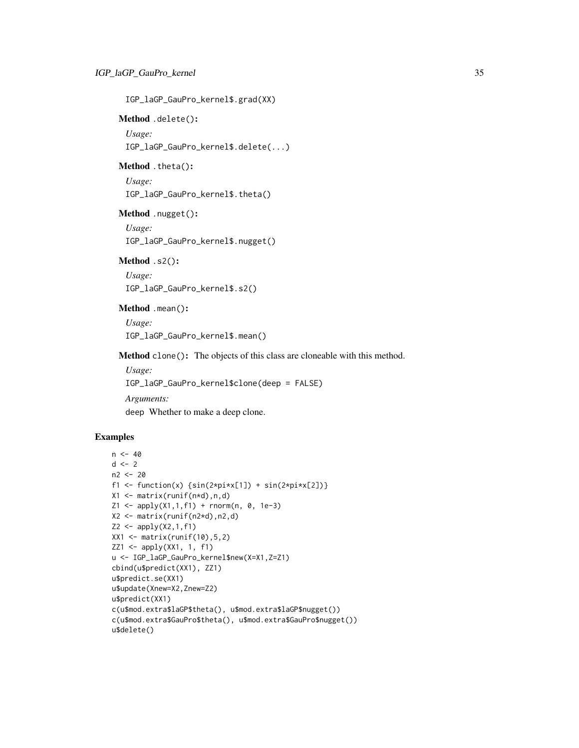IGP\_laGP\_GauPro\_kernel\$.grad(XX)

Method .delete():

*Usage:* IGP\_laGP\_GauPro\_kernel\$.delete(...)

Method .theta():

*Usage:* IGP\_laGP\_GauPro\_kernel\$.theta()

Method .nugget():

*Usage:* IGP\_laGP\_GauPro\_kernel\$.nugget()

Method .s2(): *Usage:*

IGP\_laGP\_GauPro\_kernel\$.s2()

Method .mean():

*Usage:* IGP\_laGP\_GauPro\_kernel\$.mean()

Method clone(): The objects of this class are cloneable with this method.

*Usage:* IGP\_laGP\_GauPro\_kernel\$clone(deep = FALSE)

*Arguments:* deep Whether to make a deep clone.

```
n < -40d \le -2n2 < -20f1 <- function(x) {\sin(2 \times \pi x[1]) + \sin(2 \times \pi x[2])}
X1 \leftarrow matrix(runif(n*d),n,d)Z1 \leq - apply(X1,1,f1) + rnorm(n, 0, 1e-3)
X2 <- matrix(runif(n2*d),n2,d)
Z2 \le apply(X2,1,f1)
XX1 <- matrix(runif(10), 5, 2)
ZZ1 \leftarrow apply(XX1, 1, f1)u <- IGP_laGP_GauPro_kernel$new(X=X1,Z=Z1)
cbind(u$predict(XX1), ZZ1)
u$predict.se(XX1)
u$update(Xnew=X2,Znew=Z2)
u$predict(XX1)
c(u$mod.extra$laGP$theta(), u$mod.extra$laGP$nugget())
c(u$mod.extra$GauPro$theta(), u$mod.extra$GauPro$nugget())
u$delete()
```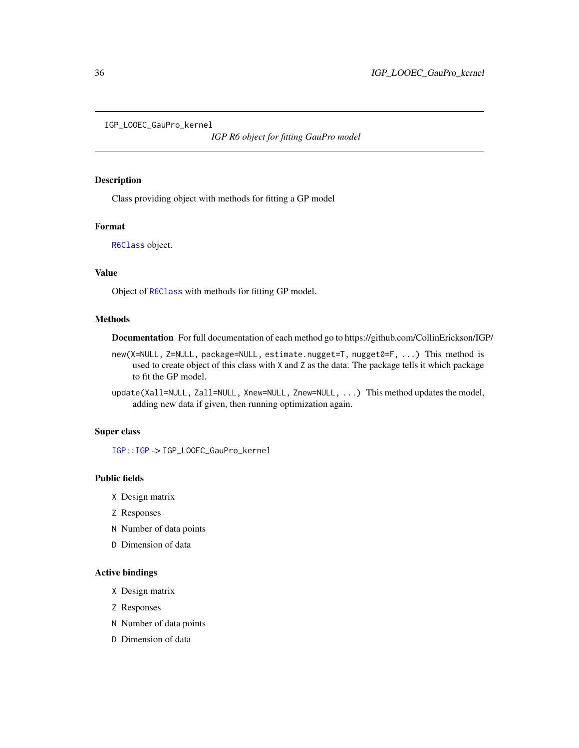<span id="page-35-0"></span>IGP\_LOOEC\_GauPro\_kernel

*IGP R6 object for fitting GauPro model*

## Description

Class providing object with methods for fitting a GP model

#### Format

[R6Class](#page-0-0) object.

## Value

Object of [R6Class](#page-0-0) with methods for fitting GP model.

#### Methods

Documentation For full documentation of each method go to https://github.com/CollinErickson/IGP/

new(X=NULL, Z=NULL, package=NULL, estimate.nugget=T, nugget0=F, ...) This method is used to create object of this class with X and Z as the data. The package tells it which package to fit the GP model.

update(Xall=NULL, Zall=NULL, Xnew=NULL, Znew=NULL, ...) This method updates the model, adding new data if given, then running optimization again.

## Super class

[IGP::IGP](#page-0-0) -> IGP\_LOOEC\_GauPro\_kernel

## Public fields

- X Design matrix
- Z Responses
- N Number of data points
- D Dimension of data

#### Active bindings

- X Design matrix
- Z Responses
- N Number of data points
- D Dimension of data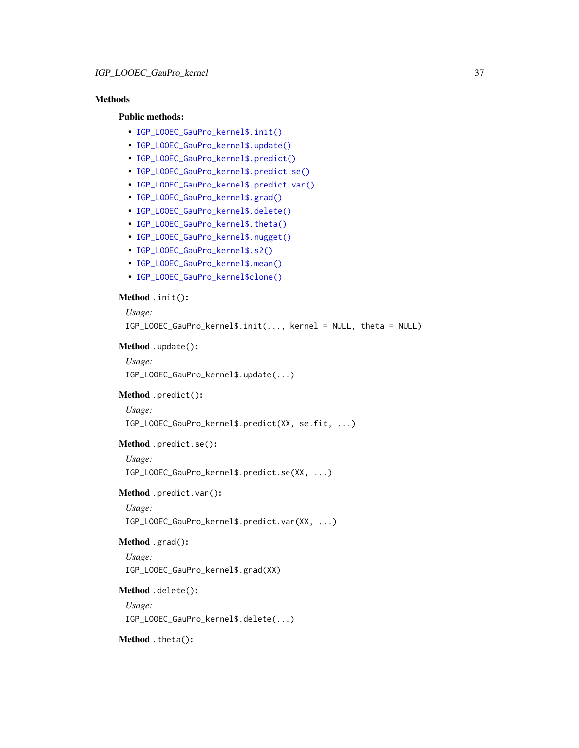## Methods

#### Public methods:

- [IGP\\_LOOEC\\_GauPro\\_kernel\\$.init\(\)](#page-3-0)
- [IGP\\_LOOEC\\_GauPro\\_kernel\\$.update\(\)](#page-3-1)
- [IGP\\_LOOEC\\_GauPro\\_kernel\\$.predict\(\)](#page-3-2)
- [IGP\\_LOOEC\\_GauPro\\_kernel\\$.predict.se\(\)](#page-3-3)
- [IGP\\_LOOEC\\_GauPro\\_kernel\\$.predict.var\(\)](#page-3-4)
- [IGP\\_LOOEC\\_GauPro\\_kernel\\$.grad\(\)](#page-13-0)
- [IGP\\_LOOEC\\_GauPro\\_kernel\\$.delete\(\)](#page-3-5)
- [IGP\\_LOOEC\\_GauPro\\_kernel\\$.theta\(\)](#page-8-0)
- [IGP\\_LOOEC\\_GauPro\\_kernel\\$.nugget\(\)](#page-8-1)
- [IGP\\_LOOEC\\_GauPro\\_kernel\\$.s2\(\)](#page-8-2)
- [IGP\\_LOOEC\\_GauPro\\_kernel\\$.mean\(\)](#page-8-3)
- [IGP\\_LOOEC\\_GauPro\\_kernel\\$clone\(\)](#page-6-2)

## Method .init():

```
Usage:
 IGP_LOOEC_GauPro_kernel$.init(..., kernel = NULL, theta = NULL)
Method .update():
```

```
Usage:
IGP_LOOEC_GauPro_kernel$.update(...)
```
## Method .predict():

*Usage:*

IGP\_LOOEC\_GauPro\_kernel\$.predict(XX, se.fit, ...)

#### Method .predict.se():

*Usage:*

IGP\_LOOEC\_GauPro\_kernel\$.predict.se(XX, ...)

#### Method .predict.var():

*Usage:*

IGP\_LOOEC\_GauPro\_kernel\$.predict.var(XX, ...)

```
Method .grad():
```

```
Usage:
IGP_LOOEC_GauPro_kernel$.grad(XX)
```
#### Method .delete():

*Usage:* IGP\_LOOEC\_GauPro\_kernel\$.delete(...)

Method .theta():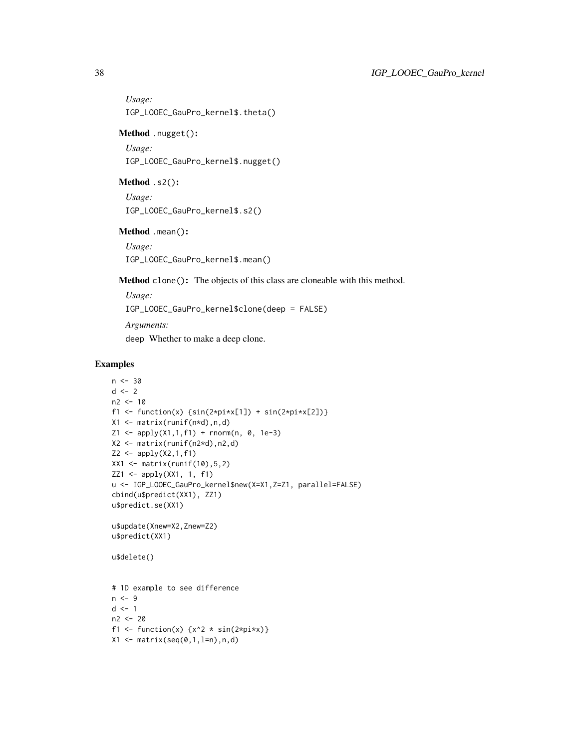*Usage:* IGP\_LOOEC\_GauPro\_kernel\$.theta()

Method .nugget():

*Usage:* IGP\_LOOEC\_GauPro\_kernel\$.nugget()

#### Method .s2():

*Usage:* IGP\_LOOEC\_GauPro\_kernel\$.s2()

Method .mean():

*Usage:* IGP\_LOOEC\_GauPro\_kernel\$.mean()

Method clone(): The objects of this class are cloneable with this method.

*Usage:* IGP\_LOOEC\_GauPro\_kernel\$clone(deep = FALSE) *Arguments:* deep Whether to make a deep clone.

```
n < -30d \le -2n2 < -10f1 <- function(x) {\sin(2*pi*x[1]) + \sin(2*pi*x[2])}
X1 <- matrix(runif(n*d),n,d)
Z1 \leq - apply(X1,1,f1) + rnorm(n, 0, 1e-3)
X2 \leq matrix(runif(n2*d),n2,d)
Z2 \leq - apply(X2,1,f1)
XX1 <- matrix(runif(10),5,2)
ZZ1 <- apply(XX1, 1, f1)
u <- IGP_LOOEC_GauPro_kernel$new(X=X1,Z=Z1, parallel=FALSE)
cbind(u$predict(XX1), ZZ1)
u$predict.se(XX1)
u$update(Xnew=X2,Znew=Z2)
u$predict(XX1)
u$delete()
# 1D example to see difference
n < -9d \leq -1n2 <- 20
f1 <- function(x) \{x^2 \times \sin(2 \times p i \times x)\}X1 \leftarrow matrix(seq(0,1,1=n),n,d)
```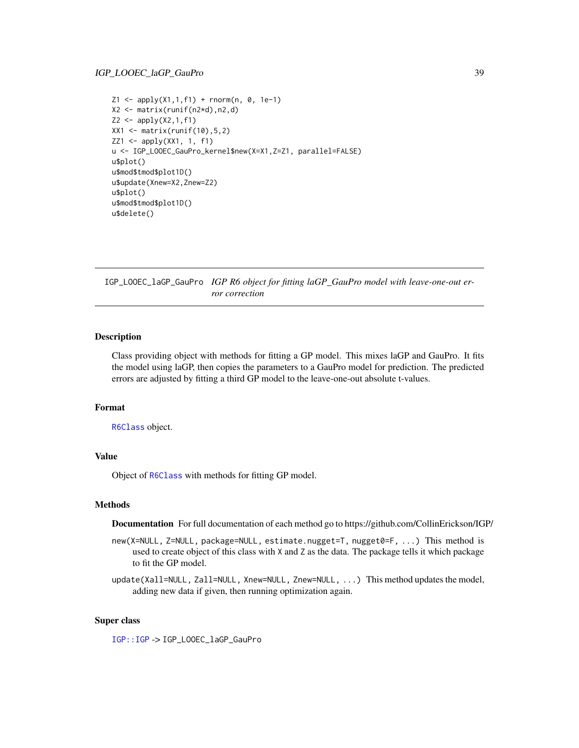```
Z1 \leq - apply(X1,1,f1) + rnorm(n, 0, 1e-1)
X2 <- matrix(runif(n2*d),n2,d)
Z2 \le apply(X2,1,f1)
XX1 <- matrix(runif(10), 5, 2)
ZZ1 <- apply(XX1, 1, f1)
u <- IGP_LOOEC_GauPro_kernel$new(X=X1,Z=Z1, parallel=FALSE)
u$plot()
u$mod$tmod$plot1D()
u$update(Xnew=X2,Znew=Z2)
u$plot()
u$mod$tmod$plot1D()
u$delete()
```
IGP\_LOOEC\_laGP\_GauPro *IGP R6 object for fitting laGP\_GauPro model with leave-one-out error correction*

#### Description

Class providing object with methods for fitting a GP model. This mixes laGP and GauPro. It fits the model using laGP, then copies the parameters to a GauPro model for prediction. The predicted errors are adjusted by fitting a third GP model to the leave-one-out absolute t-values.

#### Format

[R6Class](#page-0-0) object.

#### Value

Object of [R6Class](#page-0-0) with methods for fitting GP model.

#### Methods

Documentation For full documentation of each method go to https://github.com/CollinErickson/IGP/

- new(X=NULL, Z=NULL, package=NULL, estimate.nugget=T, nugget0=F, ...) This method is used to create object of this class with X and Z as the data. The package tells it which package to fit the GP model.
- update(Xall=NULL, Zall=NULL, Xnew=NULL, Znew=NULL, ...) This method updates the model, adding new data if given, then running optimization again.

#### Super class

[IGP::IGP](#page-0-0) -> IGP\_LOOEC\_laGP\_GauPro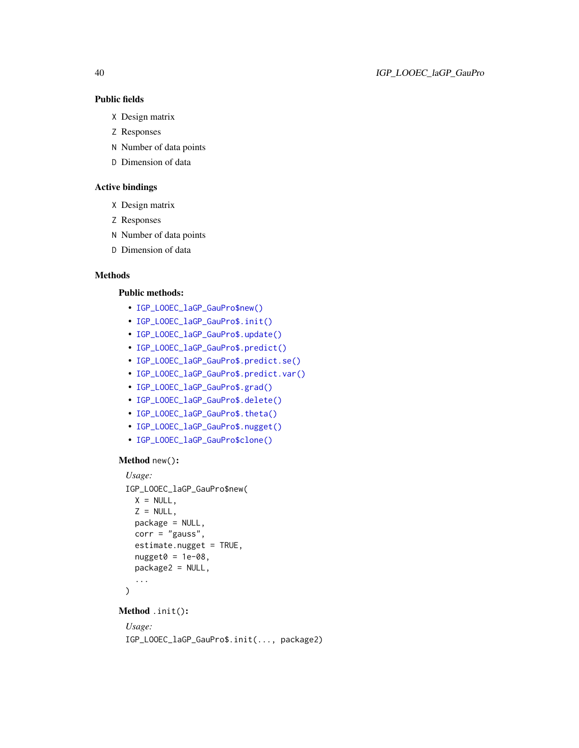## Public fields

- X Design matrix
- Z Responses
- N Number of data points
- D Dimension of data

## Active bindings

- X Design matrix
- Z Responses
- N Number of data points
- D Dimension of data

## Methods

## Public methods:

- [IGP\\_LOOEC\\_laGP\\_GauPro\\$new\(\)](#page-4-0)
- [IGP\\_LOOEC\\_laGP\\_GauPro\\$.init\(\)](#page-3-0)
- [IGP\\_LOOEC\\_laGP\\_GauPro\\$.update\(\)](#page-3-1)
- [IGP\\_LOOEC\\_laGP\\_GauPro\\$.predict\(\)](#page-3-2)
- [IGP\\_LOOEC\\_laGP\\_GauPro\\$.predict.se\(\)](#page-3-3)
- [IGP\\_LOOEC\\_laGP\\_GauPro\\$.predict.var\(\)](#page-3-4)
- [IGP\\_LOOEC\\_laGP\\_GauPro\\$.grad\(\)](#page-13-0)
- [IGP\\_LOOEC\\_laGP\\_GauPro\\$.delete\(\)](#page-3-5)
- [IGP\\_LOOEC\\_laGP\\_GauPro\\$.theta\(\)](#page-8-0)
- [IGP\\_LOOEC\\_laGP\\_GauPro\\$.nugget\(\)](#page-8-1)
- [IGP\\_LOOEC\\_laGP\\_GauPro\\$clone\(\)](#page-6-2)

#### Method new():

```
Usage:
IGP_LOOEC_laGP_GauPro$new(
 X = NULL,
 Z = NULL,
 package = NULL,
 corr = "gauss",estimate.nugget = TRUE,
 nugget0 = 1e-08,package2 = NULL,
  ...
)
```

```
Method .init():
```
## *Usage:*

```
IGP_LOOEC_laGP_GauPro$.init(..., package2)
```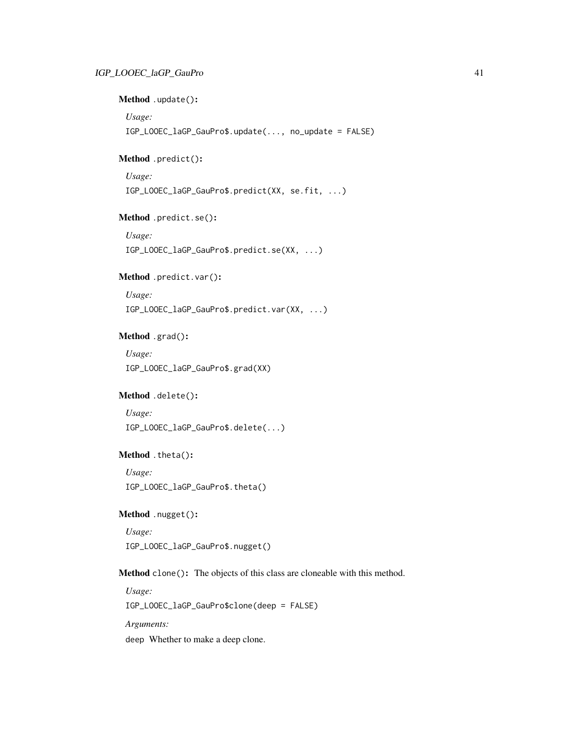## Method .update():

*Usage:*

IGP\_LOOEC\_laGP\_GauPro\$.update(..., no\_update = FALSE)

## Method .predict():

*Usage:*

IGP\_LOOEC\_laGP\_GauPro\$.predict(XX, se.fit, ...)

## Method .predict.se():

*Usage:* IGP\_LOOEC\_laGP\_GauPro\$.predict.se(XX, ...)

## Method .predict.var():

*Usage:*

IGP\_LOOEC\_laGP\_GauPro\$.predict.var(XX, ...)

## Method .grad():

*Usage:* IGP\_LOOEC\_laGP\_GauPro\$.grad(XX)

## Method .delete():

*Usage:* IGP\_LOOEC\_laGP\_GauPro\$.delete(...)

## Method .theta():

*Usage:* IGP\_LOOEC\_laGP\_GauPro\$.theta()

## Method .nugget():

*Usage:* IGP\_LOOEC\_laGP\_GauPro\$.nugget()

Method clone(): The objects of this class are cloneable with this method.

*Usage:* IGP\_LOOEC\_laGP\_GauPro\$clone(deep = FALSE) *Arguments:* deep Whether to make a deep clone.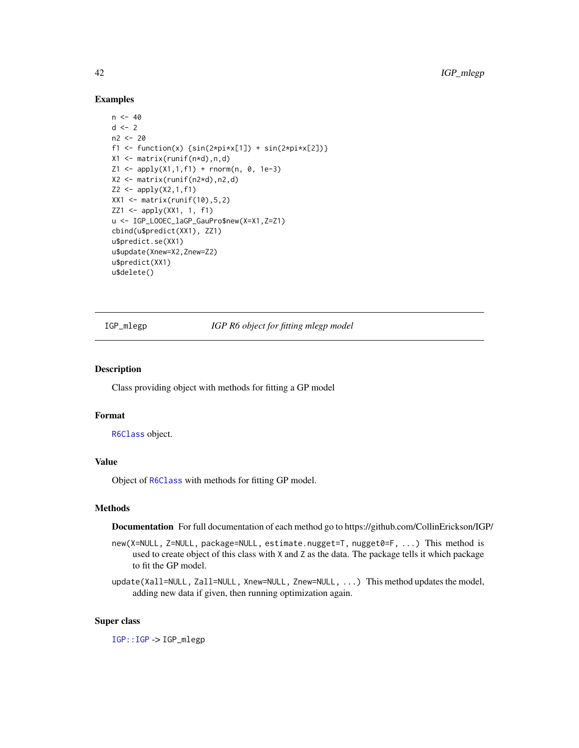#### Examples

```
n < -40d \leq -2n2 < -20f1 <- function(x) {\sin(2 \times \pi) \times \sin(2 \times \pi) + \sin(2 \times \pi) \times \cos(2)}
X1 <- matrix(runif(n*d),n,d)
Z1 \leq - apply(X1,1,f1) + rnorm(n, 0, 1e-3)
X2 <- matrix(runif(n2*d),n2,d)
Z2 \leq - apply(X2,1,f1)
XX1 <- matrix(runif(10), 5, 2)
ZZ1 <- apply(XX1, 1, f1)
u <- IGP_LOOEC_laGP_GauPro$new(X=X1,Z=Z1)
cbind(u$predict(XX1), ZZ1)
u$predict.se(XX1)
u$update(Xnew=X2,Znew=Z2)
u$predict(XX1)
u$delete()
```
IGP\_mlegp *IGP R6 object for fitting mlegp model*

### Description

Class providing object with methods for fitting a GP model

#### Format

[R6Class](#page-0-0) object.

#### Value

Object of [R6Class](#page-0-0) with methods for fitting GP model.

#### Methods

Documentation For full documentation of each method go to https://github.com/CollinErickson/IGP/

- new(X=NULL, Z=NULL, package=NULL, estimate.nugget=T, nugget0=F, ...) This method is used to create object of this class with X and Z as the data. The package tells it which package to fit the GP model.
- update(Xall=NULL, Zall=NULL, Xnew=NULL, Znew=NULL, ...) This method updates the model, adding new data if given, then running optimization again.

#### Super class

[IGP::IGP](#page-0-0) -> IGP\_mlegp

<span id="page-41-0"></span>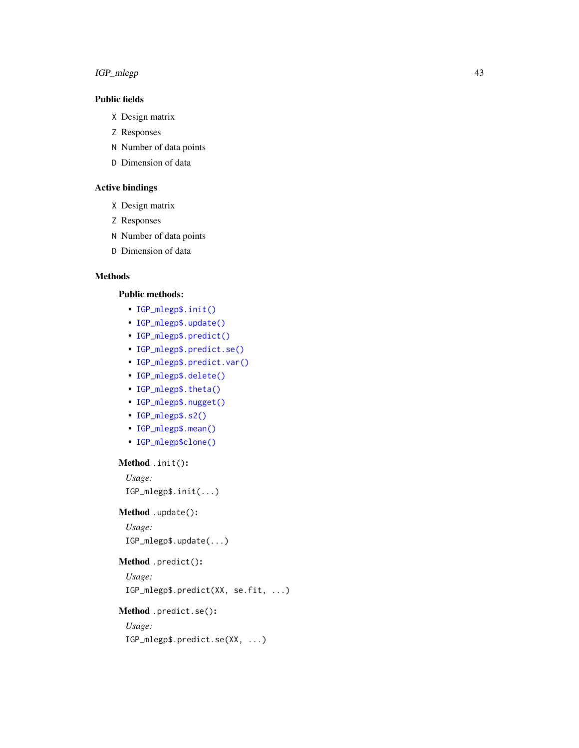## IGP\_mlegp 43

## Public fields

- X Design matrix
- Z Responses
- N Number of data points
- D Dimension of data

## Active bindings

- X Design matrix
- Z Responses
- N Number of data points
- D Dimension of data

## Methods

#### Public methods:

- [IGP\\_mlegp\\$.init\(\)](#page-3-0)
- [IGP\\_mlegp\\$.update\(\)](#page-3-1)
- [IGP\\_mlegp\\$.predict\(\)](#page-3-2)
- [IGP\\_mlegp\\$.predict.se\(\)](#page-3-3)
- [IGP\\_mlegp\\$.predict.var\(\)](#page-3-4)
- [IGP\\_mlegp\\$.delete\(\)](#page-3-5)
- [IGP\\_mlegp\\$.theta\(\)](#page-8-0)
- [IGP\\_mlegp\\$.nugget\(\)](#page-8-1)
- [IGP\\_mlegp\\$.s2\(\)](#page-8-2)
- [IGP\\_mlegp\\$.mean\(\)](#page-8-3)
- [IGP\\_mlegp\\$clone\(\)](#page-6-2)

## Method .init():

*Usage:* IGP\_mlegp\$.init(...)

## Method .update():

*Usage:* IGP\_mlegp\$.update(...)

### Method .predict():

*Usage:* IGP\_mlegp\$.predict(XX, se.fit, ...)

## Method .predict.se():

## *Usage:*

IGP\_mlegp\$.predict.se(XX, ...)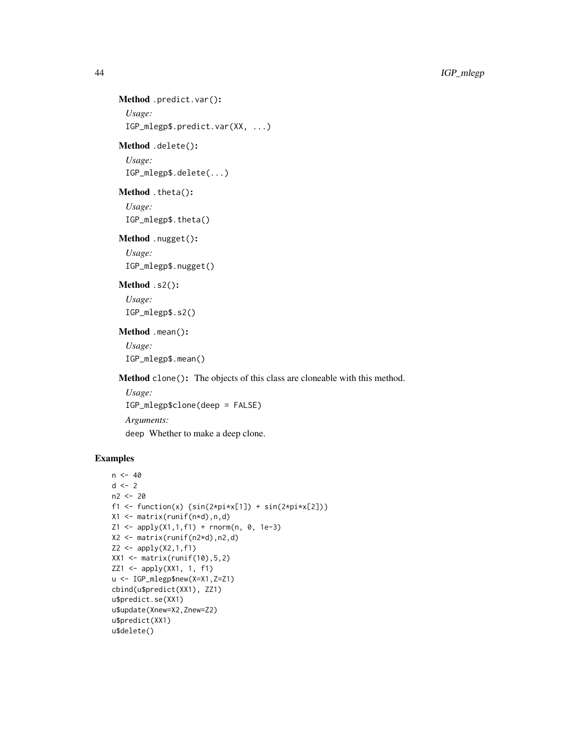```
Method .predict.var():
 Usage:
```
IGP\_mlegp\$.predict.var(XX, ...)

## Method .delete():

*Usage:* IGP\_mlegp\$.delete(...)

Method .theta():

*Usage:* IGP\_mlegp\$.theta()

## Method .nugget():

*Usage:* IGP\_mlegp\$.nugget()

## Method .s2():

*Usage:* IGP\_mlegp\$.s2()

## Method .mean():

*Usage:* IGP\_mlegp\$.mean()

Method clone(): The objects of this class are cloneable with this method.

*Usage:* IGP\_mlegp\$clone(deep = FALSE) *Arguments:*

deep Whether to make a deep clone.

```
n < -40d \le -2n2 < -20f1 <- function(x) {\sin(2 \times \pi) \times \sin(2 \times \pi) + \sin(2 \times \pi) \times \cos(2)}
X1 \leftarrow matrix(runit(n*d), n, d)Z1 <- apply(X1,1,f1) + rnorm(n, 0, 1e-3)
X2 <- matrix(runif(n2*d),n2,d)
Z2 \le apply(X2,1,f1)
XX1 <- matrix(runif(10), 5, 2)
ZZ1 \leftarrow apply(XX1, 1, f1)u <- IGP_mlegp$new(X=X1,Z=Z1)
cbind(u$predict(XX1), ZZ1)
u$predict.se(XX1)
u$update(Xnew=X2,Znew=Z2)
u$predict(XX1)
u$delete()
```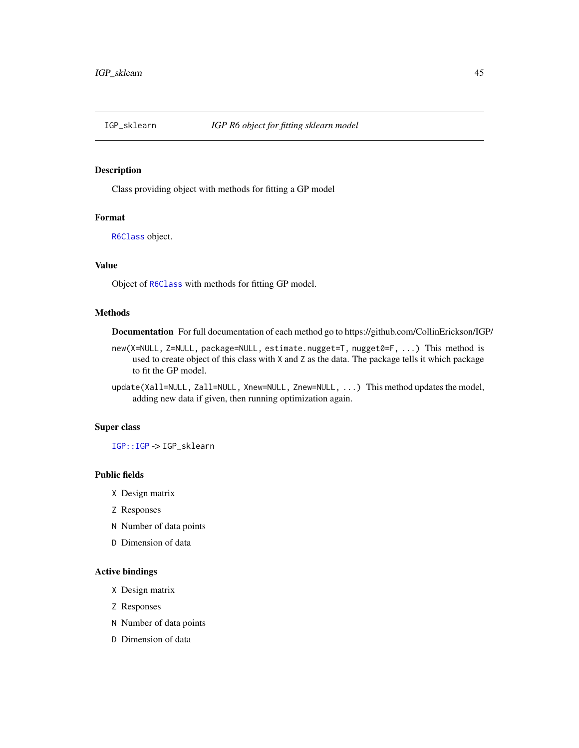<span id="page-44-0"></span>

#### Description

Class providing object with methods for fitting a GP model

### Format

[R6Class](#page-0-0) object.

## Value

Object of [R6Class](#page-0-0) with methods for fitting GP model.

#### Methods

Documentation For full documentation of each method go to https://github.com/CollinErickson/IGP/

- new(X=NULL, Z=NULL, package=NULL, estimate.nugget=T, nugget0=F, ...) This method is used to create object of this class with X and Z as the data. The package tells it which package to fit the GP model.
- update(Xall=NULL, Zall=NULL, Xnew=NULL, Znew=NULL, ...) This method updates the model, adding new data if given, then running optimization again.

#### Super class

[IGP::IGP](#page-0-0) -> IGP\_sklearn

#### Public fields

- X Design matrix
- Z Responses
- N Number of data points
- D Dimension of data

## Active bindings

- X Design matrix
- Z Responses
- N Number of data points
- D Dimension of data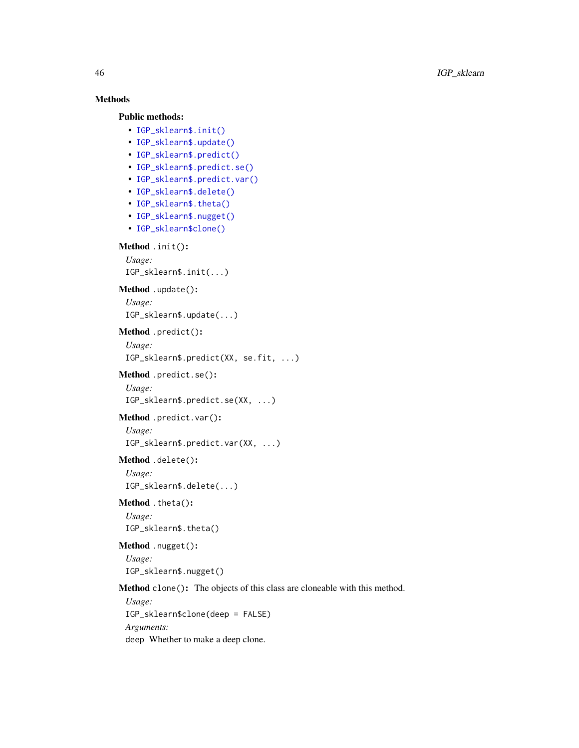## Methods

Public methods:

```
• IGP_sklearn$.init()
```
- [IGP\\_sklearn\\$.update\(\)](#page-3-1)
- [IGP\\_sklearn\\$.predict\(\)](#page-3-2)
- [IGP\\_sklearn\\$.predict.se\(\)](#page-3-3)
- [IGP\\_sklearn\\$.predict.var\(\)](#page-3-4)
- [IGP\\_sklearn\\$.delete\(\)](#page-3-5)
- [IGP\\_sklearn\\$.theta\(\)](#page-8-0)
- [IGP\\_sklearn\\$.nugget\(\)](#page-8-1)
- [IGP\\_sklearn\\$clone\(\)](#page-6-2)

#### Method .init():

```
Usage:
IGP_sklearn$.init(...)
```
Method .update():

```
Usage:
```
IGP\_sklearn\$.update(...)

## Method .predict():

```
Usage:
```

```
IGP_sklearn$.predict(XX, se.fit, ...)
```

```
Method .predict.se():
```

```
Usage:
IGP_sklearn$.predict.se(XX, ...)
```

```
Method .predict.var():
 Usage:
```
IGP\_sklearn\$.predict.var(XX, ...)

#### Method .delete():

*Usage:* IGP\_sklearn\$.delete(...)

```
Method .theta():
 Usage:
```
IGP\_sklearn\$.theta()

## Method .nugget(): *Usage:*

IGP\_sklearn\$.nugget()

#### Method clone(): The objects of this class are cloneable with this method.

*Usage:* IGP\_sklearn\$clone(deep = FALSE) *Arguments:* deep Whether to make a deep clone.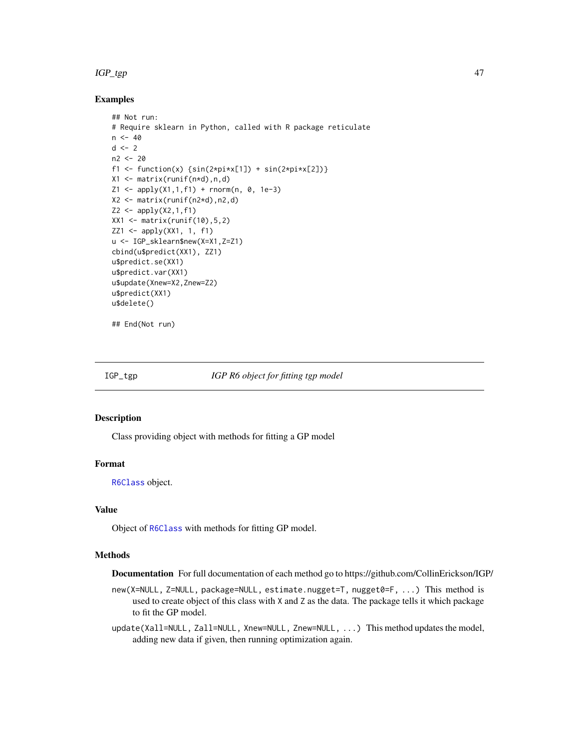#### <span id="page-46-0"></span>IGP\_tgp 47

#### Examples

```
## Not run:
# Require sklearn in Python, called with R package reticulate
n < -40d \leq -2n2 <- 20
f1 <- function(x) {\sin(2 \times \pi) \times \sin(2 \times \pi) + \sin(2 \times \pi) \times \cos(2)}
X1 \leftarrow matrix(runif(n*d),n,d)Z1 \leq - apply(X1,1,f1) + rnorm(n, 0, 1e-3)
X2 <- matrix(runif(n2*d),n2,d)
Z2 \leftarrow apply(X2, 1, f1)XX1 <- matrix(runif(10), 5, 2)
ZZ1 <- apply(XX1, 1, f1)
u <- IGP_sklearn$new(X=X1,Z=Z1)
cbind(u$predict(XX1), ZZ1)
u$predict.se(XX1)
u$predict.var(XX1)
u$update(Xnew=X2,Znew=Z2)
u$predict(XX1)
u$delete()
```

```
## End(Not run)
```
IGP\_tgp *IGP R6 object for fitting tgp model*

#### Description

Class providing object with methods for fitting a GP model

#### Format

[R6Class](#page-0-0) object.

#### Value

Object of [R6Class](#page-0-0) with methods for fitting GP model.

## Methods

Documentation For full documentation of each method go to https://github.com/CollinErickson/IGP/

new(X=NULL, Z=NULL, package=NULL, estimate.nugget=T, nugget0=F, ...) This method is used to create object of this class with X and Z as the data. The package tells it which package to fit the GP model.

update(Xall=NULL, Zall=NULL, Xnew=NULL, Znew=NULL, ...) This method updates the model, adding new data if given, then running optimization again.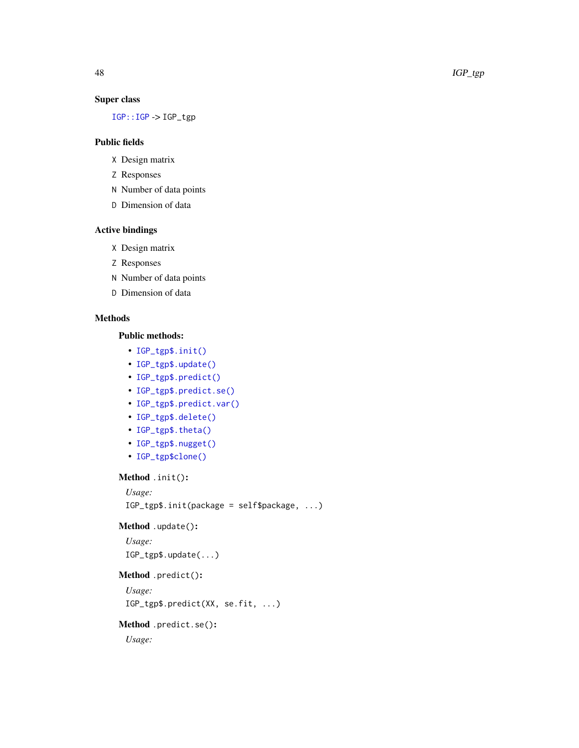## <span id="page-47-0"></span>Super class

[IGP::IGP](#page-0-0) -> IGP\_tgp

### Public fields

- X Design matrix
- Z Responses
- N Number of data points
- D Dimension of data

## Active bindings

- X Design matrix
- Z Responses
- N Number of data points
- D Dimension of data

## Methods

## Public methods:

- [IGP\\_tgp\\$.init\(\)](#page-3-0)
- [IGP\\_tgp\\$.update\(\)](#page-3-1)
- [IGP\\_tgp\\$.predict\(\)](#page-3-2)
- [IGP\\_tgp\\$.predict.se\(\)](#page-3-3)
- [IGP\\_tgp\\$.predict.var\(\)](#page-3-4)
- [IGP\\_tgp\\$.delete\(\)](#page-3-5)
- [IGP\\_tgp\\$.theta\(\)](#page-8-0)
- [IGP\\_tgp\\$.nugget\(\)](#page-8-1)
- [IGP\\_tgp\\$clone\(\)](#page-6-2)

Method .init():

```
Usage:
IGP_tgp$.init(package = self$package, ...)
```
#### Method .update():

```
Usage:
IGP_tgp$.update(...)
```
## Method .predict():

*Usage:*

```
IGP_tgp$.predict(XX, se.fit, ...)
```
## Method .predict.se():

*Usage:*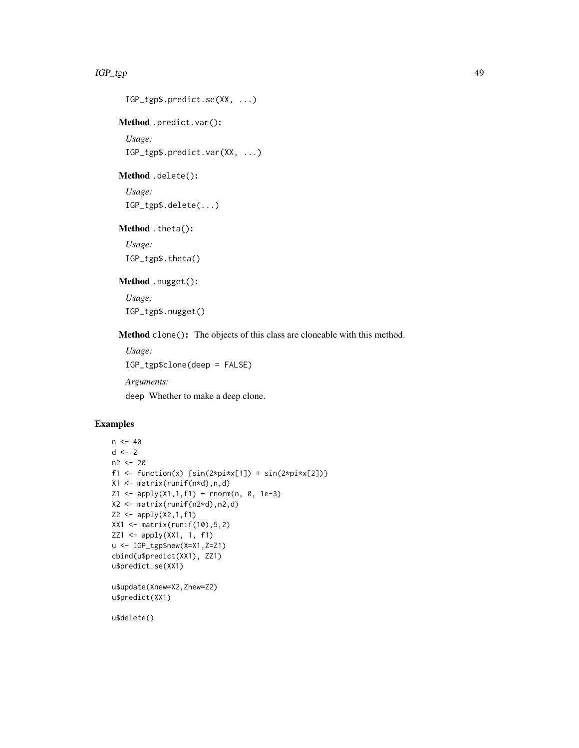#### IGP\_tgp 49

```
IGP_tgp$.predict.se(XX, ...)
```
Method .predict.var():

*Usage:* IGP\_tgp\$.predict.var(XX, ...)

Method .delete():

*Usage:* IGP\_tgp\$.delete(...)

Method .theta():

*Usage:* IGP\_tgp\$.theta()

Method .nugget():

*Usage:* IGP\_tgp\$.nugget()

Method clone(): The objects of this class are cloneable with this method.

*Usage:* IGP\_tgp\$clone(deep = FALSE) *Arguments:* deep Whether to make a deep clone.

#### Examples

```
n < -40d \le -2n2 <- 20
f1 <- function(x) {\sin(2 \times \pi) \times \sin(2 \times \pi) + \sin(2 \times \pi) \times \cos(2)}
X1 <- matrix(runif(n*d),n,d)
Z1 <- apply(X1,1,f1) + rnorm(n, 0, 1e-3)
X2 <- matrix(runif(n2*d),n2,d)
Z2 <- apply(X2,1,f1)
XX1 <- matrix(runif(10),5,2)
ZZ1 <- apply(XX1, 1, f1)
u <- IGP_tgp$new(X=X1,Z=Z1)
cbind(u$predict(XX1), ZZ1)
u$predict.se(XX1)
u$update(Xnew=X2,Znew=Z2)
u$predict(XX1)
```
u\$delete()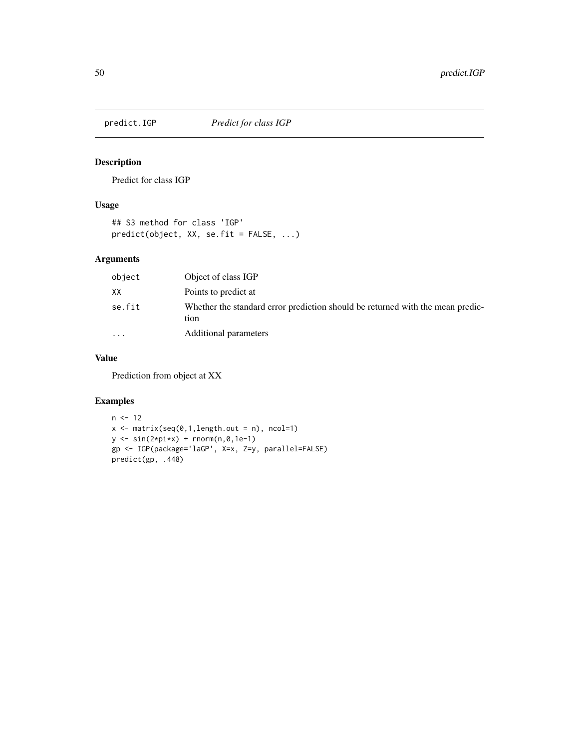<span id="page-49-0"></span>

## Description

Predict for class IGP

## Usage

```
## S3 method for class 'IGP'
predict(object, XX, se.fit = FALSE, ...)
```
## Arguments

| object  | Object of class IGP                                                                    |
|---------|----------------------------------------------------------------------------------------|
| XX      | Points to predict at                                                                   |
| se.fit  | Whether the standard error prediction should be returned with the mean predic-<br>tion |
| $\cdot$ | Additional parameters                                                                  |

## Value

Prediction from object at XX

```
n < -12x \leftarrow \text{matrix}(\text{seq}(0,1,\text{length.out = n}), \text{ ncol=1})y \leftarrow \sin(2 \times \pi) \times \tan(\pi, 0, 1e^{-1})gp <- IGP(package='laGP', X=x, Z=y, parallel=FALSE)
predict(gp, .448)
```